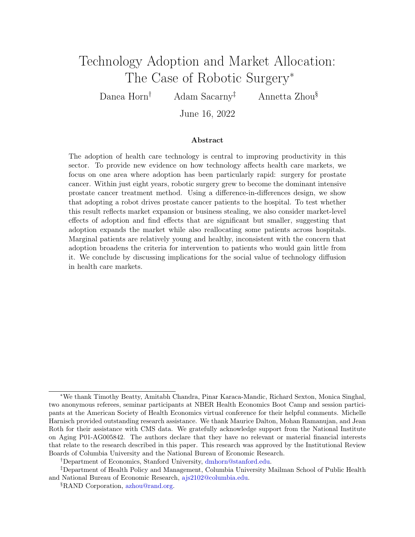# <span id="page-0-0"></span>Technology Adoption and Market Allocation: The Case of Robotic Surgery<sup>∗</sup>

Danea Horn† Adam Sacarny‡ Annetta Zhou§

June 16, 2022

#### Abstract

The adoption of health care technology is central to improving productivity in this sector. To provide new evidence on how technology affects health care markets, we focus on one area where adoption has been particularly rapid: surgery for prostate cancer. Within just eight years, robotic surgery grew to become the dominant intensive prostate cancer treatment method. Using a difference-in-differences design, we show that adopting a robot drives prostate cancer patients to the hospital. To test whether this result reflects market expansion or business stealing, we also consider market-level effects of adoption and find effects that are significant but smaller, suggesting that adoption expands the market while also reallocating some patients across hospitals. Marginal patients are relatively young and healthy, inconsistent with the concern that adoption broadens the criteria for intervention to patients who would gain little from it. We conclude by discussing implications for the social value of technology diffusion in health care markets.

<sup>∗</sup>We thank Timothy Beatty, Amitabh Chandra, Pinar Karaca-Mandic, Richard Sexton, Monica Singhal, two anonymous referees, seminar participants at NBER Health Economics Boot Camp and session participants at the American Society of Health Economics virtual conference for their helpful comments. Michelle Harnisch provided outstanding research assistance. We thank Maurice Dalton, Mohan Ramanujan, and Jean Roth for their assistance with CMS data. We gratefully acknowledge support from the National Institute on Aging P01-AG005842. The authors declare that they have no relevant or material financial interests that relate to the research described in this paper. This research was approved by the Institutional Review Boards of Columbia University and the National Bureau of Economic Research.

<sup>†</sup>Department of Economics, Stanford University, [dmhorn@stanford.edu.](mailto:dmhorn@stanford.edu)

<sup>‡</sup>Department of Health Policy and Management, Columbia University Mailman School of Public Health and National Bureau of Economic Research, [ajs2102@columbia.edu.](mailto:ajs2102@columbia.edu)

<sup>§</sup>RAND Corporation, [azhou@rand.org.](mailto:azhou@rand.org)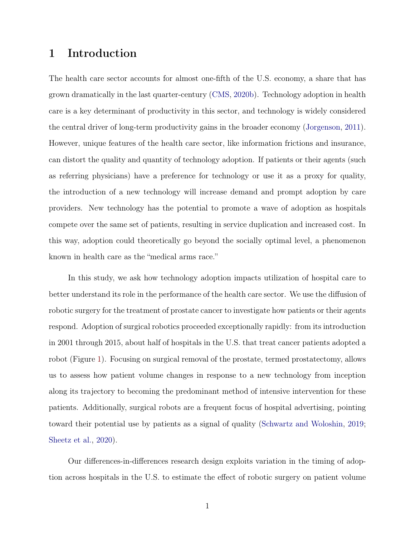## 1 Introduction

The health care sector accounts for almost one-fifth of the U.S. economy, a share that has grown dramatically in the last quarter-century [\(CMS,](#page-25-0) [2020b\)](#page-25-0). Technology adoption in health care is a key determinant of productivity in this sector, and technology is widely considered the central driver of long-term productivity gains in the broader economy [\(Jorgenson,](#page-27-0) [2011\)](#page-27-0). However, unique features of the health care sector, like information frictions and insurance, can distort the quality and quantity of technology adoption. If patients or their agents (such as referring physicians) have a preference for technology or use it as a proxy for quality, the introduction of a new technology will increase demand and prompt adoption by care providers. New technology has the potential to promote a wave of adoption as hospitals compete over the same set of patients, resulting in service duplication and increased cost. In this way, adoption could theoretically go beyond the socially optimal level, a phenomenon known in health care as the "medical arms race."

In this study, we ask how technology adoption impacts utilization of hospital care to better understand its role in the performance of the health care sector. We use the diffusion of robotic surgery for the treatment of prostate cancer to investigate how patients or their agents respond. Adoption of surgical robotics proceeded exceptionally rapidly: from its introduction in 2001 through 2015, about half of hospitals in the U.S. that treat cancer patients adopted a robot (Figure [1\)](#page-30-0). Focusing on surgical removal of the prostate, termed prostatectomy, allows us to assess how patient volume changes in response to a new technology from inception along its trajectory to becoming the predominant method of intensive intervention for these patients. Additionally, surgical robots are a frequent focus of hospital advertising, pointing toward their potential use by patients as a signal of quality [\(Schwartz and Woloshin,](#page-28-0) [2019;](#page-28-0) [Sheetz et al.,](#page-28-1) [2020\)](#page-28-1).

Our differences-in-differences research design exploits variation in the timing of adoption across hospitals in the U.S. to estimate the effect of robotic surgery on patient volume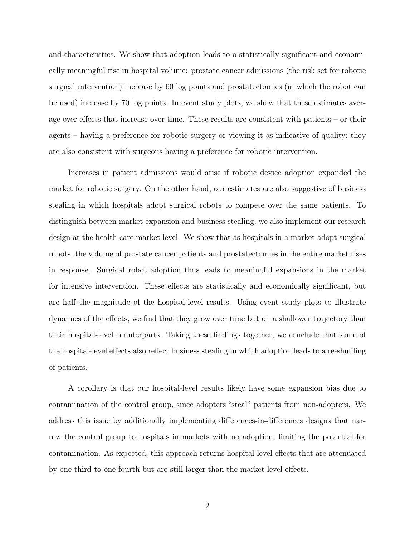and characteristics. We show that adoption leads to a statistically significant and economically meaningful rise in hospital volume: prostate cancer admissions (the risk set for robotic surgical intervention) increase by 60 log points and prostatectomies (in which the robot can be used) increase by 70 log points. In event study plots, we show that these estimates average over effects that increase over time. These results are consistent with patients – or their agents – having a preference for robotic surgery or viewing it as indicative of quality; they are also consistent with surgeons having a preference for robotic intervention.

Increases in patient admissions would arise if robotic device adoption expanded the market for robotic surgery. On the other hand, our estimates are also suggestive of business stealing in which hospitals adopt surgical robots to compete over the same patients. To distinguish between market expansion and business stealing, we also implement our research design at the health care market level. We show that as hospitals in a market adopt surgical robots, the volume of prostate cancer patients and prostatectomies in the entire market rises in response. Surgical robot adoption thus leads to meaningful expansions in the market for intensive intervention. These effects are statistically and economically significant, but are half the magnitude of the hospital-level results. Using event study plots to illustrate dynamics of the effects, we find that they grow over time but on a shallower trajectory than their hospital-level counterparts. Taking these findings together, we conclude that some of the hospital-level effects also reflect business stealing in which adoption leads to a re-shuffling of patients.

A corollary is that our hospital-level results likely have some expansion bias due to contamination of the control group, since adopters "steal" patients from non-adopters. We address this issue by additionally implementing differences-in-differences designs that narrow the control group to hospitals in markets with no adoption, limiting the potential for contamination. As expected, this approach returns hospital-level effects that are attenuated by one-third to one-fourth but are still larger than the market-level effects.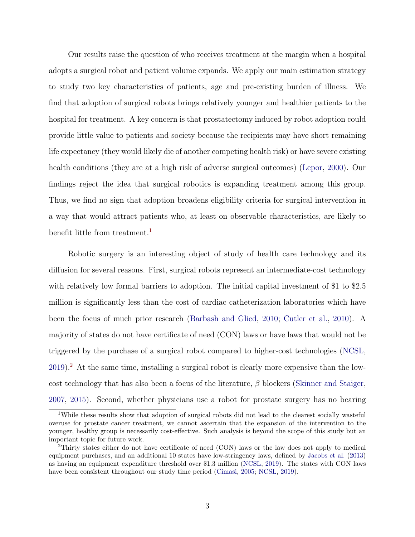Our results raise the question of who receives treatment at the margin when a hospital adopts a surgical robot and patient volume expands. We apply our main estimation strategy to study two key characteristics of patients, age and pre-existing burden of illness. We find that adoption of surgical robots brings relatively younger and healthier patients to the hospital for treatment. A key concern is that prostatectomy induced by robot adoption could provide little value to patients and society because the recipients may have short remaining life expectancy (they would likely die of another competing health risk) or have severe existing health conditions (they are at a high risk of adverse surgical outcomes) [\(Lepor,](#page-27-1) [2000\)](#page-27-1). Our findings reject the idea that surgical robotics is expanding treatment among this group. Thus, we find no sign that adoption broadens eligibility criteria for surgical intervention in a way that would attract patients who, at least on observable characteristics, are likely to benefit little from treatment.<sup>[1](#page-0-0)</sup>

Robotic surgery is an interesting object of study of health care technology and its diffusion for several reasons. First, surgical robots represent an intermediate-cost technology with relatively low formal barriers to adoption. The initial capital investment of \$1 to \$2.5 million is significantly less than the cost of cardiac catheterization laboratories which have been the focus of much prior research [\(Barbash and Glied,](#page-24-0) [2010;](#page-24-0) [Cutler et al.,](#page-25-1) [2010\)](#page-25-1). A majority of states do not have certificate of need (CON) laws or have laws that would not be triggered by the purchase of a surgical robot compared to higher-cost technologies [\(NCSL,](#page-27-2) [2019\)](#page-27-2).[2](#page-0-0) At the same time, installing a surgical robot is clearly more expensive than the lowcost technology that has also been a focus of the literature,  $\beta$  blockers [\(Skinner and Staiger,](#page-28-2) [2007,](#page-28-2) [2015\)](#page-28-3). Second, whether physicians use a robot for prostate surgery has no bearing

<sup>&</sup>lt;sup>1</sup>While these results show that adoption of surgical robots did not lead to the clearest socially wasteful overuse for prostate cancer treatment, we cannot ascertain that the expansion of the intervention to the younger, healthy group is necessarily cost-effective. Such analysis is beyond the scope of this study but an important topic for future work.

<sup>&</sup>lt;sup>2</sup>Thirty states either do not have certificate of need (CON) laws or the law does not apply to medical equipment purchases, and an additional 10 states have low-stringency laws, defined by [Jacobs et al.](#page-26-0) [\(2013\)](#page-26-0) as having an equipment expenditure threshold over \$1.3 million [\(NCSL,](#page-27-2) [2019\)](#page-27-2). The states with CON laws have been consistent throughout our study time period [\(Cimasi,](#page-25-2) [2005;](#page-25-2) [NCSL,](#page-27-2) [2019\)](#page-27-2).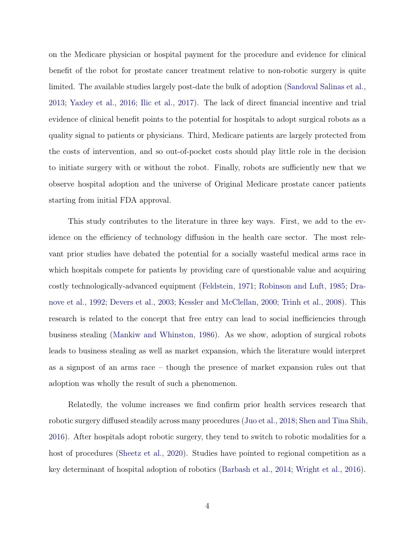on the Medicare physician or hospital payment for the procedure and evidence for clinical benefit of the robot for prostate cancer treatment relative to non-robotic surgery is quite limited. The available studies largely post-date the bulk of adoption [\(Sandoval Salinas et al.,](#page-28-4) [2013;](#page-28-4) [Yaxley et al.,](#page-29-0) [2016;](#page-29-0) [Ilic et al.,](#page-26-1) [2017\)](#page-26-1). The lack of direct financial incentive and trial evidence of clinical benefit points to the potential for hospitals to adopt surgical robots as a quality signal to patients or physicians. Third, Medicare patients are largely protected from the costs of intervention, and so out-of-pocket costs should play little role in the decision to initiate surgery with or without the robot. Finally, robots are sufficiently new that we observe hospital adoption and the universe of Original Medicare prostate cancer patients starting from initial FDA approval.

This study contributes to the literature in three key ways. First, we add to the evidence on the efficiency of technology diffusion in the health care sector. The most relevant prior studies have debated the potential for a socially wasteful medical arms race in which hospitals compete for patients by providing care of questionable value and acquiring costly technologically-advanced equipment [\(Feldstein,](#page-25-3) [1971;](#page-25-3) [Robinson and Luft,](#page-27-3) [1985;](#page-27-3) [Dra](#page-25-4)[nove et al.,](#page-25-4) [1992;](#page-25-4) [Devers et al.,](#page-25-5) [2003;](#page-25-5) [Kessler and McClellan,](#page-27-4) [2000;](#page-27-4) [Trinh et al.,](#page-29-1) [2008\)](#page-29-1). This research is related to the concept that free entry can lead to social inefficiencies through business stealing [\(Mankiw and Whinston,](#page-27-5) [1986\)](#page-27-5). As we show, adoption of surgical robots leads to business stealing as well as market expansion, which the literature would interpret as a signpost of an arms race – though the presence of market expansion rules out that adoption was wholly the result of such a phenomenon.

Relatedly, the volume increases we find confirm prior health services research that robotic surgery diffused steadily across many procedures [\(Juo et al.,](#page-27-6) [2018;](#page-27-6) [Shen and Tina Shih,](#page-28-5) [2016\)](#page-28-5). After hospitals adopt robotic surgery, they tend to switch to robotic modalities for a host of procedures [\(Sheetz et al.,](#page-28-1) [2020\)](#page-28-1). Studies have pointed to regional competition as a key determinant of hospital adoption of robotics [\(Barbash et al.,](#page-23-0) [2014;](#page-23-0) [Wright et al.,](#page-29-2) [2016\)](#page-29-2).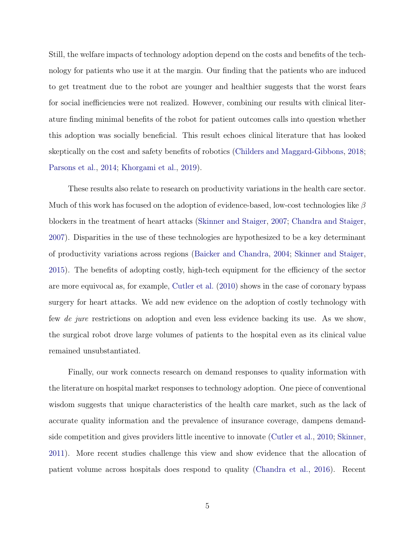Still, the welfare impacts of technology adoption depend on the costs and benefits of the technology for patients who use it at the margin. Our finding that the patients who are induced to get treatment due to the robot are younger and healthier suggests that the worst fears for social inefficiencies were not realized. However, combining our results with clinical literature finding minimal benefits of the robot for patient outcomes calls into question whether this adoption was socially beneficial. This result echoes clinical literature that has looked skeptically on the cost and safety benefits of robotics [\(Childers and Maggard-Gibbons,](#page-24-1) [2018;](#page-24-1) [Parsons et al.,](#page-27-7) [2014;](#page-27-7) [Khorgami et al.,](#page-27-8) [2019\)](#page-27-8).

These results also relate to research on productivity variations in the health care sector. Much of this work has focused on the adoption of evidence-based, low-cost technologies like  $\beta$ blockers in the treatment of heart attacks [\(Skinner and Staiger,](#page-28-2) [2007;](#page-28-2) [Chandra and Staiger,](#page-24-2) [2007\)](#page-24-2). Disparities in the use of these technologies are hypothesized to be a key determinant of productivity variations across regions [\(Baicker and Chandra,](#page-23-1) [2004;](#page-23-1) [Skinner and Staiger,](#page-28-3) [2015\)](#page-28-3). The benefits of adopting costly, high-tech equipment for the efficiency of the sector are more equivocal as, for example, [Cutler et al.](#page-25-1) [\(2010\)](#page-25-1) shows in the case of coronary bypass surgery for heart attacks. We add new evidence on the adoption of costly technology with few *de jure* restrictions on adoption and even less evidence backing its use. As we show, the surgical robot drove large volumes of patients to the hospital even as its clinical value remained unsubstantiated.

Finally, our work connects research on demand responses to quality information with the literature on hospital market responses to technology adoption. One piece of conventional wisdom suggests that unique characteristics of the health care market, such as the lack of accurate quality information and the prevalence of insurance coverage, dampens demandside competition and gives providers little incentive to innovate [\(Cutler et al.,](#page-25-1) [2010;](#page-25-1) [Skinner,](#page-28-6) [2011\)](#page-28-6). More recent studies challenge this view and show evidence that the allocation of patient volume across hospitals does respond to quality [\(Chandra et al.,](#page-24-3) [2016\)](#page-24-3). Recent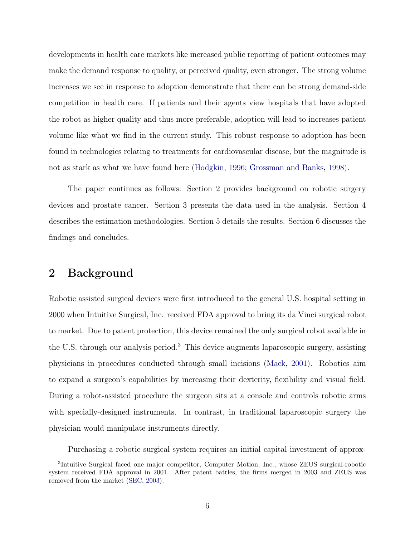developments in health care markets like increased public reporting of patient outcomes may make the demand response to quality, or perceived quality, even stronger. The strong volume increases we see in response to adoption demonstrate that there can be strong demand-side competition in health care. If patients and their agents view hospitals that have adopted the robot as higher quality and thus more preferable, adoption will lead to increases patient volume like what we find in the current study. This robust response to adoption has been found in technologies relating to treatments for cardiovascular disease, but the magnitude is not as stark as what we have found here [\(Hodgkin,](#page-26-2) [1996;](#page-26-2) [Grossman and Banks,](#page-26-3) [1998\)](#page-26-3).

The paper continues as follows: Section 2 provides background on robotic surgery devices and prostate cancer. Section 3 presents the data used in the analysis. Section 4 describes the estimation methodologies. Section 5 details the results. Section 6 discusses the findings and concludes.

### 2 Background

Robotic assisted surgical devices were first introduced to the general U.S. hospital setting in 2000 when Intuitive Surgical, Inc. received FDA approval to bring its da Vinci surgical robot to market. Due to patent protection, this device remained the only surgical robot available in the U.S. through our analysis period.[3](#page-0-0) This device augments laparoscopic surgery, assisting physicians in procedures conducted through small incisions [\(Mack,](#page-27-9) [2001\)](#page-27-9). Robotics aim to expand a surgeon's capabilities by increasing their dexterity, flexibility and visual field. During a robot-assisted procedure the surgeon sits at a console and controls robotic arms with specially-designed instruments. In contrast, in traditional laparoscopic surgery the physician would manipulate instruments directly.

Purchasing a robotic surgical system requires an initial capital investment of approx-

<sup>&</sup>lt;sup>3</sup>Intuitive Surgical faced one major competitor, Computer Motion, Inc., whose ZEUS surgical-robotic system received FDA approval in 2001. After patent battles, the firms merged in 2003 and ZEUS was removed from the market [\(SEC,](#page-28-7) [2003\)](#page-28-7).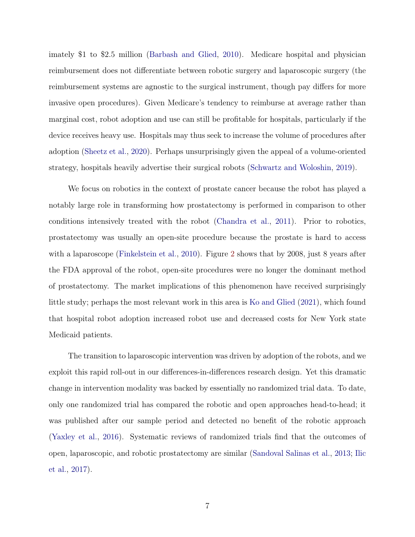imately \$1 to \$2.5 million [\(Barbash and Glied,](#page-24-0) [2010\)](#page-24-0). Medicare hospital and physician reimbursement does not differentiate between robotic surgery and laparoscopic surgery (the reimbursement systems are agnostic to the surgical instrument, though pay differs for more invasive open procedures). Given Medicare's tendency to reimburse at average rather than marginal cost, robot adoption and use can still be profitable for hospitals, particularly if the device receives heavy use. Hospitals may thus seek to increase the volume of procedures after adoption [\(Sheetz et al.,](#page-28-1) [2020\)](#page-28-1). Perhaps unsurprisingly given the appeal of a volume-oriented strategy, hospitals heavily advertise their surgical robots [\(Schwartz and Woloshin,](#page-28-0) [2019\)](#page-28-0).

We focus on robotics in the context of prostate cancer because the robot has played a notably large role in transforming how prostatectomy is performed in comparison to other conditions intensively treated with the robot [\(Chandra et al.,](#page-24-4) [2011\)](#page-24-4). Prior to robotics, prostatectomy was usually an open-site procedure because the prostate is hard to access with a laparoscope [\(Finkelstein et al.,](#page-25-6) [2010\)](#page-25-6). Figure [2](#page-31-0) shows that by 2008, just 8 years after the FDA approval of the robot, open-site procedures were no longer the dominant method of prostatectomy. The market implications of this phenomenon have received surprisingly little study; perhaps the most relevant work in this area is [Ko and Glied](#page-27-10) [\(2021\)](#page-27-10), which found that hospital robot adoption increased robot use and decreased costs for New York state Medicaid patients.

The transition to laparoscopic intervention was driven by adoption of the robots, and we exploit this rapid roll-out in our differences-in-differences research design. Yet this dramatic change in intervention modality was backed by essentially no randomized trial data. To date, only one randomized trial has compared the robotic and open approaches head-to-head; it was published after our sample period and detected no benefit of the robotic approach [\(Yaxley et al.,](#page-29-0) [2016\)](#page-29-0). Systematic reviews of randomized trials find that the outcomes of open, laparoscopic, and robotic prostatectomy are similar [\(Sandoval Salinas et al.,](#page-28-4) [2013;](#page-28-4) [Ilic](#page-26-1) [et al.,](#page-26-1) [2017\)](#page-26-1).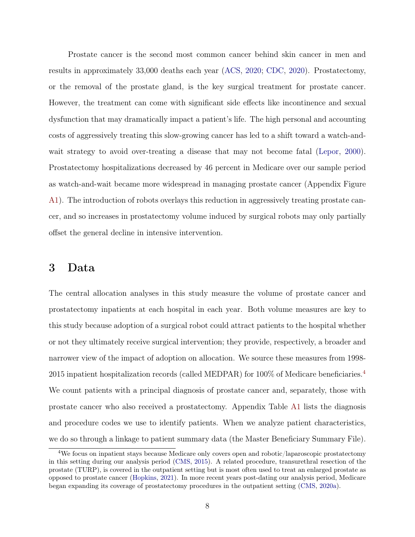Prostate cancer is the second most common cancer behind skin cancer in men and results in approximately 33,000 deaths each year [\(ACS,](#page-23-2) [2020;](#page-23-2) [CDC,](#page-24-5) [2020\)](#page-24-5). Prostatectomy, or the removal of the prostate gland, is the key surgical treatment for prostate cancer. However, the treatment can come with significant side effects like incontinence and sexual dysfunction that may dramatically impact a patient's life. The high personal and accounting costs of aggressively treating this slow-growing cancer has led to a shift toward a watch-and-wait strategy to avoid over-treating a disease that may not become fatal [\(Lepor,](#page-27-1) [2000\)](#page-27-1). Prostatectomy hospitalizations decreased by 46 percent in Medicare over our sample period as watch-and-wait became more widespread in managing prostate cancer (Appendix Figure [A1\)](#page-46-0). The introduction of robots overlays this reduction in aggressively treating prostate cancer, and so increases in prostatectomy volume induced by surgical robots may only partially offset the general decline in intensive intervention.

#### 3 Data

The central allocation analyses in this study measure the volume of prostate cancer and prostatectomy inpatients at each hospital in each year. Both volume measures are key to this study because adoption of a surgical robot could attract patients to the hospital whether or not they ultimately receive surgical intervention; they provide, respectively, a broader and narrower view of the impact of adoption on allocation. We source these measures from 1998- 2015 inpatient hospitalization records (called MEDPAR) for 100% of Medicare beneficiaries.[4](#page-0-0) We count patients with a principal diagnosis of prostate cancer and, separately, those with prostate cancer who also received a prostatectomy. Appendix Table [A1](#page-49-0) lists the diagnosis and procedure codes we use to identify patients. When we analyze patient characteristics, we do so through a linkage to patient summary data (the Master Beneficiary Summary File).

<sup>4</sup>We focus on inpatient stays because Medicare only covers open and robotic/laparoscopic prostatectomy in this setting during our analysis period [\(CMS,](#page-25-7) [2015\)](#page-25-7). A related procedure, transurethral resection of the prostate (TURP), is covered in the outpatient setting but is most often used to treat an enlarged prostate as opposed to prostate cancer [\(Hopkins,](#page-26-4) [2021\)](#page-26-4). In more recent years post-dating our analysis period, Medicare began expanding its coverage of prostatectomy procedures in the outpatient setting [\(CMS,](#page-25-8) [2020a\)](#page-25-8).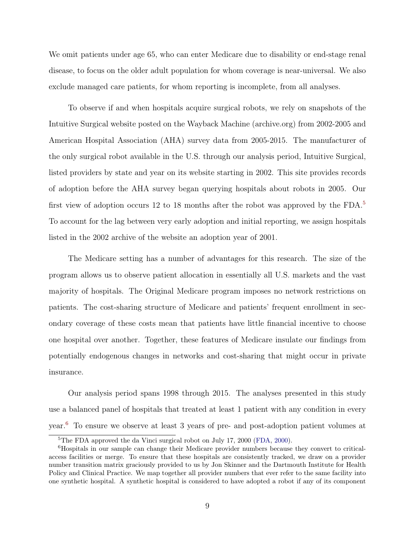We omit patients under age 65, who can enter Medicare due to disability or end-stage renal disease, to focus on the older adult population for whom coverage is near-universal. We also exclude managed care patients, for whom reporting is incomplete, from all analyses.

To observe if and when hospitals acquire surgical robots, we rely on snapshots of the Intuitive Surgical website posted on the Wayback Machine (archive.org) from 2002-2005 and American Hospital Association (AHA) survey data from 2005-2015. The manufacturer of the only surgical robot available in the U.S. through our analysis period, Intuitive Surgical, listed providers by state and year on its website starting in 2002. This site provides records of adoption before the AHA survey began querying hospitals about robots in 2005. Our first view of adoption occurs 12 to 18 months after the robot was approved by the FDA.<sup>[5](#page-0-0)</sup> To account for the lag between very early adoption and initial reporting, we assign hospitals listed in the 2002 archive of the website an adoption year of 2001.

The Medicare setting has a number of advantages for this research. The size of the program allows us to observe patient allocation in essentially all U.S. markets and the vast majority of hospitals. The Original Medicare program imposes no network restrictions on patients. The cost-sharing structure of Medicare and patients' frequent enrollment in secondary coverage of these costs mean that patients have little financial incentive to choose one hospital over another. Together, these features of Medicare insulate our findings from potentially endogenous changes in networks and cost-sharing that might occur in private insurance.

Our analysis period spans 1998 through 2015. The analyses presented in this study use a balanced panel of hospitals that treated at least 1 patient with any condition in every year.[6](#page-0-0) To ensure we observe at least 3 years of pre- and post-adoption patient volumes at

<sup>&</sup>lt;sup>5</sup>The FDA approved the da Vinci surgical robot on July 17, 2000 [\(FDA,](#page-25-9) [2000\)](#page-25-9).

<sup>6</sup>Hospitals in our sample can change their Medicare provider numbers because they convert to criticalaccess facilities or merge. To ensure that these hospitals are consistently tracked, we draw on a provider number transition matrix graciously provided to us by Jon Skinner and the Dartmouth Institute for Health Policy and Clinical Practice. We map together all provider numbers that ever refer to the same facility into one synthetic hospital. A synthetic hospital is considered to have adopted a robot if any of its component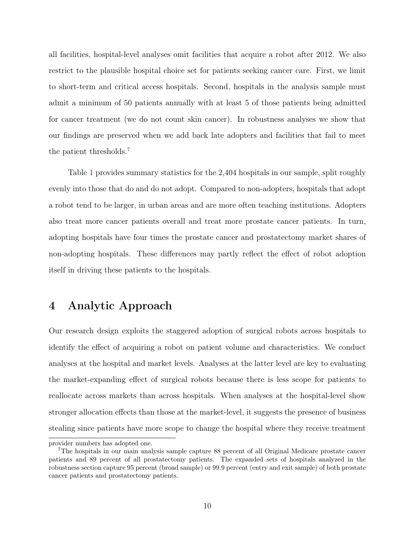all facilities, hospital-level analyses omit facilities that acquire a robot after 2012. We also restrict to the plausible hospital choice set for patients seeking cancer care. First, we limit to short-term and critical access hospitals. Second, hospitals in the analysis sample must admit a minimum of 50 patients annually with at least 5 of those patients being admitted for cancer treatment (we do not count skin cancer). In robustness analyses we show that our findings are preserved when we add back late adopters and facilities that fail to meet the patient thresholds.[7](#page-0-0)

Table [1](#page-35-0) provides summary statistics for the 2,404 hospitals in our sample, split roughly evenly into those that do and do not adopt. Compared to non-adopters, hospitals that adopt a robot tend to be larger, in urban areas and are more often teaching institutions. Adopters also treat more cancer patients overall and treat more prostate cancer patients. In turn, adopting hospitals have four times the prostate cancer and prostatectomy market shares of non-adopting hospitals. These differences may partly reflect the effect of robot adoption itself in driving these patients to the hospitals.

### 4 Analytic Approach

Our research design exploits the staggered adoption of surgical robots across hospitals to identify the effect of acquiring a robot on patient volume and characteristics. We conduct analyses at the hospital and market levels. Analyses at the latter level are key to evaluating the market-expanding effect of surgical robots because there is less scope for patients to reallocate across markets than across hospitals. When analyses at the hospital-level show stronger allocation effects than those at the market-level, it suggests the presence of business stealing since patients have more scope to change the hospital where they receive treatment

provider numbers has adopted one.

<sup>7</sup>The hospitals in our main analysis sample capture 88 percent of all Original Medicare prostate cancer patients and 89 percent of all prostatectomy patients. The expanded sets of hospitals analyzed in the robustness section capture 95 percent (broad sample) or 99.9 percent (entry and exit sample) of both prostate cancer patients and prostatectomy patients.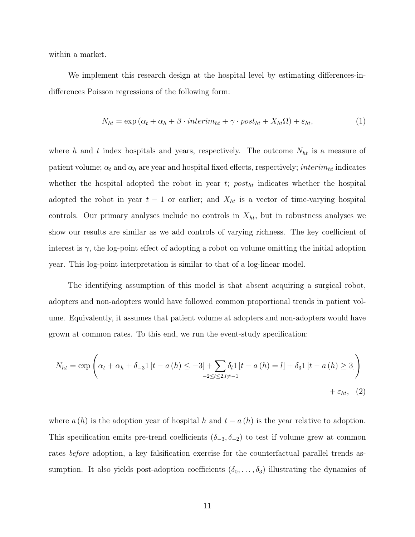within a market.

We implement this research design at the hospital level by estimating differences-indifferences Poisson regressions of the following form:

<span id="page-11-2"></span><span id="page-11-0"></span>
$$
N_{ht} = \exp\left(\alpha_t + \alpha_h + \beta \cdot interim_{ht} + \gamma \cdot post_{ht} + X_{ht}\Omega\right) + \varepsilon_{ht},\tag{1}
$$

where h and t index hospitals and years, respectively. The outcome  $N_{ht}$  is a measure of patient volume;  $\alpha_t$  and  $\alpha_h$  are year and hospital fixed effects, respectively; *interim<sub>ht</sub>* indicates whether the hospital adopted the robot in year  $t$ ;  $post<sub>ht</sub>$  indicates whether the hospital adopted the robot in year  $t - 1$  or earlier; and  $X_{ht}$  is a vector of time-varying hospital controls. Our primary analyses include no controls in  $X_{ht}$ , but in robustness analyses we show our results are similar as we add controls of varying richness. The key coefficient of interest is  $\gamma$ , the log-point effect of adopting a robot on volume omitting the initial adoption year. This log-point interpretation is similar to that of a log-linear model.

The identifying assumption of this model is that absent acquiring a surgical robot, adopters and non-adopters would have followed common proportional trends in patient volume. Equivalently, it assumes that patient volume at adopters and non-adopters would have grown at common rates. To this end, we run the event-study specification:

<span id="page-11-1"></span>
$$
N_{ht} = \exp\left(\alpha_t + \alpha_h + \delta_{-3}1 \left[ t - a\left( h \right) \le -3 \right] + \sum_{-2 \le l \le 2, l \neq -1} \delta_l 1 \left[ t - a\left( h \right) = l \right] + \delta_3 1 \left[ t - a\left( h \right) \ge 3 \right] \right) + \epsilon_{ht}, \tag{2}
$$

where  $a(h)$  is the adoption year of hospital h and  $t - a(h)$  is the year relative to adoption. This specification emits pre-trend coefficients  $(\delta_{-3}, \delta_{-2})$  to test if volume grew at common rates before adoption, a key falsification exercise for the counterfactual parallel trends assumption. It also yields post-adoption coefficients  $(\delta_0, \ldots, \delta_3)$  illustrating the dynamics of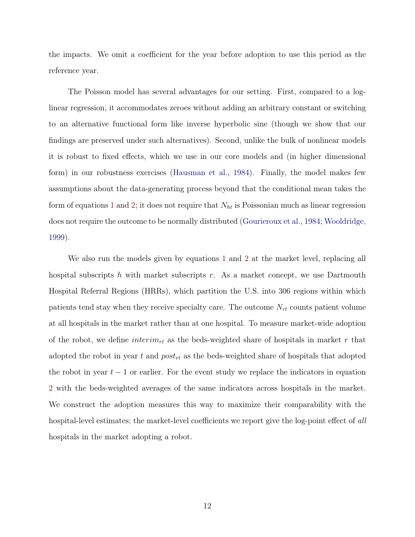the impacts. We omit a coefficient for the year before adoption to use this period as the reference year.

The Poisson model has several advantages for our setting. First, compared to a loglinear regression, it accommodates zeroes without adding an arbitrary constant or switching to an alternative functional form like inverse hyperbolic sine (though we show that our findings are preserved under such alternatives). Second, unlike the bulk of nonlinear models it is robust to fixed effects, which we use in our core models and (in higher dimensional form) in our robustness exercises [\(Hausman et al.,](#page-26-5) [1984\)](#page-26-5). Finally, the model makes few assumptions about the data-generating process beyond that the conditional mean takes the form of equations [1](#page-11-0) and [2;](#page-11-1) it does not require that  $N_{ht}$  is Poissonian much as linear regression does not require the outcome to be normally distributed [\(Gourieroux et al.,](#page-26-6) [1984;](#page-26-6) [Wooldridge,](#page-29-3) [1999\)](#page-29-3).

We also run the models given by equations [1](#page-11-0) and [2](#page-11-1) at the market level, replacing all hospital subscripts h with market subscripts r. As a market concept, we use Dartmouth Hospital Referral Regions (HRRs), which partition the U.S. into 306 regions within which patients tend stay when they receive specialty care. The outcome  $N_{rt}$  counts patient volume at all hospitals in the market rather than at one hospital. To measure market-wide adoption of the robot, we define  $interim_{rt}$  as the beds-weighted share of hospitals in market r that adopted the robot in year t and  $post_{rt}$  as the beds-weighted share of hospitals that adopted the robot in year  $t - 1$  or earlier. For the event study we replace the indicators in equation [2](#page-11-1) with the beds-weighted averages of the same indicators across hospitals in the market. We construct the adoption measures this way to maximize their comparability with the hospital-level estimates; the market-level coefficients we report give the log-point effect of all hospitals in the market adopting a robot.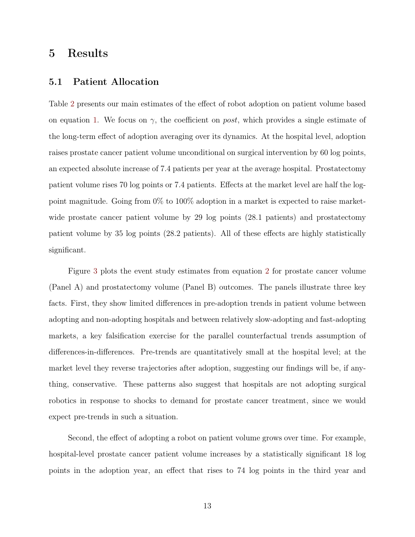### 5 Results

#### 5.1 Patient Allocation

Table [2](#page-36-0) presents our main estimates of the effect of robot adoption on patient volume based on equation [1.](#page-11-0) We focus on  $\gamma$ , the coefficient on *post*, which provides a single estimate of the long-term effect of adoption averaging over its dynamics. At the hospital level, adoption raises prostate cancer patient volume unconditional on surgical intervention by 60 log points, an expected absolute increase of 7.4 patients per year at the average hospital. Prostatectomy patient volume rises 70 log points or 7.4 patients. Effects at the market level are half the logpoint magnitude. Going from 0% to 100% adoption in a market is expected to raise marketwide prostate cancer patient volume by 29 log points (28.1 patients) and prostatectomy patient volume by 35 log points (28.2 patients). All of these effects are highly statistically significant.

Figure [3](#page-32-0) plots the event study estimates from equation [2](#page-11-1) for prostate cancer volume (Panel A) and prostatectomy volume (Panel B) outcomes. The panels illustrate three key facts. First, they show limited differences in pre-adoption trends in patient volume between adopting and non-adopting hospitals and between relatively slow-adopting and fast-adopting markets, a key falsification exercise for the parallel counterfactual trends assumption of differences-in-differences. Pre-trends are quantitatively small at the hospital level; at the market level they reverse trajectories after adoption, suggesting our findings will be, if anything, conservative. These patterns also suggest that hospitals are not adopting surgical robotics in response to shocks to demand for prostate cancer treatment, since we would expect pre-trends in such a situation.

Second, the effect of adopting a robot on patient volume grows over time. For example, hospital-level prostate cancer patient volume increases by a statistically significant 18 log points in the adoption year, an effect that rises to 74 log points in the third year and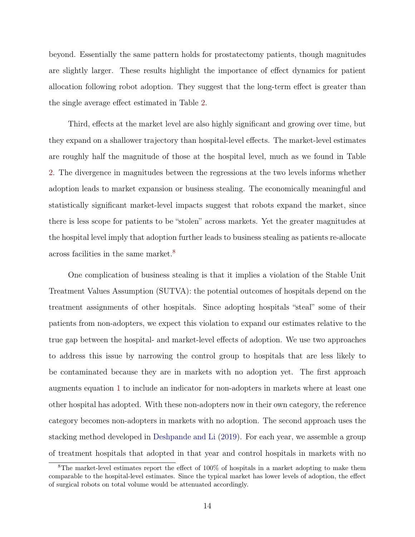beyond. Essentially the same pattern holds for prostatectomy patients, though magnitudes are slightly larger. These results highlight the importance of effect dynamics for patient allocation following robot adoption. They suggest that the long-term effect is greater than the single average effect estimated in Table [2.](#page-36-0)

Third, effects at the market level are also highly significant and growing over time, but they expand on a shallower trajectory than hospital-level effects. The market-level estimates are roughly half the magnitude of those at the hospital level, much as we found in Table [2.](#page-36-0) The divergence in magnitudes between the regressions at the two levels informs whether adoption leads to market expansion or business stealing. The economically meaningful and statistically significant market-level impacts suggest that robots expand the market, since there is less scope for patients to be "stolen" across markets. Yet the greater magnitudes at the hospital level imply that adoption further leads to business stealing as patients re-allocate across facilities in the same market.[8](#page-0-0)

One complication of business stealing is that it implies a violation of the Stable Unit Treatment Values Assumption (SUTVA): the potential outcomes of hospitals depend on the treatment assignments of other hospitals. Since adopting hospitals "steal" some of their patients from non-adopters, we expect this violation to expand our estimates relative to the true gap between the hospital- and market-level effects of adoption. We use two approaches to address this issue by narrowing the control group to hospitals that are less likely to be contaminated because they are in markets with no adoption yet. The first approach augments equation [1](#page-11-0) to include an indicator for non-adopters in markets where at least one other hospital has adopted. With these non-adopters now in their own category, the reference category becomes non-adopters in markets with no adoption. The second approach uses the stacking method developed in [Deshpande and Li](#page-25-10) [\(2019\)](#page-25-10). For each year, we assemble a group of treatment hospitals that adopted in that year and control hospitals in markets with no

<sup>8</sup>The market-level estimates report the effect of 100% of hospitals in a market adopting to make them comparable to the hospital-level estimates. Since the typical market has lower levels of adoption, the effect of surgical robots on total volume would be attenuated accordingly.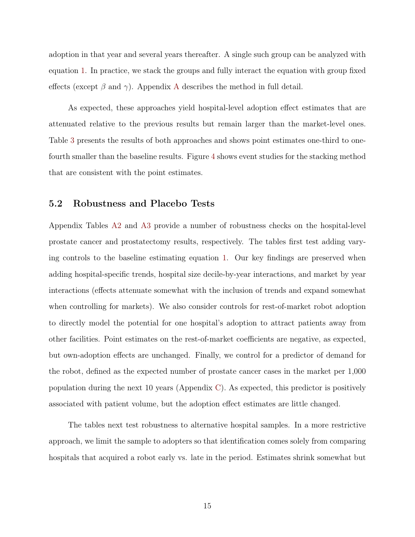adoption in that year and several years thereafter. A single such group can be analyzed with equation [1.](#page-11-0) In practice, we stack the groups and fully interact the equation with group fixed effects (except  $\beta$  and  $\gamma$ ). [A](#page-40-0)ppendix A describes the method in full detail.

As expected, these approaches yield hospital-level adoption effect estimates that are attenuated relative to the previous results but remain larger than the market-level ones. Table [3](#page-37-0) presents the results of both approaches and shows point estimates one-third to onefourth smaller than the baseline results. Figure [4](#page-33-0) shows event studies for the stacking method that are consistent with the point estimates.

#### <span id="page-15-0"></span>5.2 Robustness and Placebo Tests

Appendix Tables [A2](#page-50-0) and [A3](#page-51-0) provide a number of robustness checks on the hospital-level prostate cancer and prostatectomy results, respectively. The tables first test adding varying controls to the baseline estimating equation [1.](#page-11-0) Our key findings are preserved when adding hospital-specific trends, hospital size decile-by-year interactions, and market by year interactions (effects attenuate somewhat with the inclusion of trends and expand somewhat when controlling for markets). We also consider controls for rest-of-market robot adoption to directly model the potential for one hospital's adoption to attract patients away from other facilities. Point estimates on the rest-of-market coefficients are negative, as expected, but own-adoption effects are unchanged. Finally, we control for a predictor of demand for the robot, defined as the expected number of prostate cancer cases in the market per 1,000 population during the next 10 years (Appendix [C\)](#page-44-0). As expected, this predictor is positively associated with patient volume, but the adoption effect estimates are little changed.

The tables next test robustness to alternative hospital samples. In a more restrictive approach, we limit the sample to adopters so that identification comes solely from comparing hospitals that acquired a robot early vs. late in the period. Estimates shrink somewhat but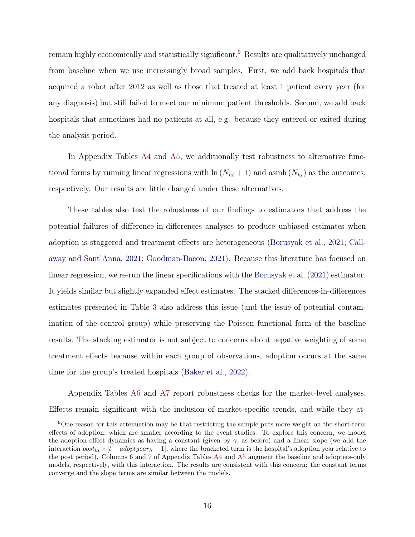remain highly economically and statistically significant.[9](#page-0-0) Results are qualitatively unchanged from baseline when we use increasingly broad samples. First, we add back hospitals that acquired a robot after 2012 as well as those that treated at least 1 patient every year (for any diagnosis) but still failed to meet our minimum patient thresholds. Second, we add back hospitals that sometimes had no patients at all, e.g. because they entered or exited during the analysis period.

In Appendix Tables [A4](#page-52-0) and [A5,](#page-53-0) we additionally test robustness to alternative functional forms by running linear regressions with  $\ln(N_{ht} + 1)$  and asinh  $(N_{ht})$  as the outcomes, respectively. Our results are little changed under these alternatives.

These tables also test the robustness of our findings to estimators that address the potential failures of difference-in-differences analyses to produce unbiased estimates when adoption is staggered and treatment effects are heterogeneous [\(Borusyak et al.,](#page-24-6) [2021;](#page-24-6) [Call](#page-24-7)[away and Sant'Anna,](#page-24-7) [2021;](#page-24-7) [Goodman-Bacon,](#page-26-7) [2021\)](#page-26-7). Because this literature has focused on linear regression, we re-run the linear specifications with the [Borusyak et al.](#page-24-6) [\(2021\)](#page-24-6) estimator. It yields similar but slightly expanded effect estimates. The stacked differences-in-differences estimates presented in Table [3](#page-37-0) also address this issue (and the issue of potential contamination of the control group) while preserving the Poisson functional form of the baseline results. The stacking estimator is not subject to concerns about negative weighting of some treatment effects because within each group of observations, adoption occurs at the same time for the group's treated hospitals [\(Baker et al.,](#page-23-3) [2022\)](#page-23-3).

Appendix Tables [A6](#page-54-0) and [A7](#page-55-0) report robustness checks for the market-level analyses. Effects remain significant with the inclusion of market-specific trends, and while they at-

<sup>9</sup>One reason for this attenuation may be that restricting the sample puts more weight on the short-term effects of adoption, which are smaller according to the event studies. To explore this concern, we model the adoption effect dynamics as having a constant (given by  $\gamma$ , as before) and a linear slope (we add the interaction  $post_{ht} \times [t - adoptyear_h - 1]$ , where the bracketed term is the hospital's adoption year relative to the post period). Columns 6 and 7 of Appendix Tables [A4](#page-52-0) and [A5](#page-53-0) augment the baseline and adopters-only models, respectively, with this interaction. The results are consistent with this concern: the constant terms converge and the slope terms are similar between the models.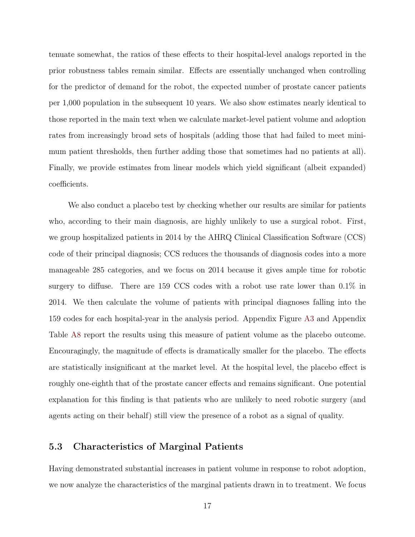tenuate somewhat, the ratios of these effects to their hospital-level analogs reported in the prior robustness tables remain similar. Effects are essentially unchanged when controlling for the predictor of demand for the robot, the expected number of prostate cancer patients per 1,000 population in the subsequent 10 years. We also show estimates nearly identical to those reported in the main text when we calculate market-level patient volume and adoption rates from increasingly broad sets of hospitals (adding those that had failed to meet minimum patient thresholds, then further adding those that sometimes had no patients at all). Finally, we provide estimates from linear models which yield significant (albeit expanded) coefficients.

We also conduct a placebo test by checking whether our results are similar for patients who, according to their main diagnosis, are highly unlikely to use a surgical robot. First, we group hospitalized patients in 2014 by the AHRQ Clinical Classification Software (CCS) code of their principal diagnosis; CCS reduces the thousands of diagnosis codes into a more manageable 285 categories, and we focus on 2014 because it gives ample time for robotic surgery to diffuse. There are 159 CCS codes with a robot use rate lower than 0.1% in 2014. We then calculate the volume of patients with principal diagnoses falling into the 159 codes for each hospital-year in the analysis period. Appendix Figure [A3](#page-48-0) and Appendix Table [A8](#page-56-0) report the results using this measure of patient volume as the placebo outcome. Encouragingly, the magnitude of effects is dramatically smaller for the placebo. The effects are statistically insignificant at the market level. At the hospital level, the placebo effect is roughly one-eighth that of the prostate cancer effects and remains significant. One potential explanation for this finding is that patients who are unlikely to need robotic surgery (and agents acting on their behalf) still view the presence of a robot as a signal of quality.

#### <span id="page-17-0"></span>5.3 Characteristics of Marginal Patients

Having demonstrated substantial increases in patient volume in response to robot adoption, we now analyze the characteristics of the marginal patients drawn in to treatment. We focus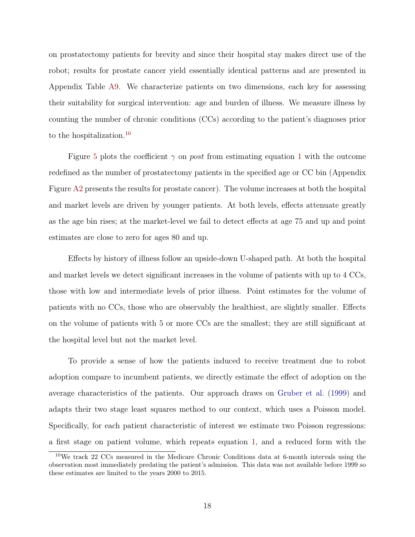on prostatectomy patients for brevity and since their hospital stay makes direct use of the robot; results for prostate cancer yield essentially identical patterns and are presented in Appendix Table [A9.](#page-57-0) We characterize patients on two dimensions, each key for assessing their suitability for surgical intervention: age and burden of illness. We measure illness by counting the number of chronic conditions (CCs) according to the patient's diagnoses prior to the hospitalization.<sup>[10](#page-0-0)</sup>

Figure [5](#page-34-0) plots the coefficient  $\gamma$  on post from estimating equation [1](#page-11-0) with the outcome redefined as the number of prostatectomy patients in the specified age or CC bin (Appendix Figure [A2](#page-47-0) presents the results for prostate cancer). The volume increases at both the hospital and market levels are driven by younger patients. At both levels, effects attenuate greatly as the age bin rises; at the market-level we fail to detect effects at age 75 and up and point estimates are close to zero for ages 80 and up.

Effects by history of illness follow an upside-down U-shaped path. At both the hospital and market levels we detect significant increases in the volume of patients with up to 4 CCs, those with low and intermediate levels of prior illness. Point estimates for the volume of patients with no CCs, those who are observably the healthiest, are slightly smaller. Effects on the volume of patients with 5 or more CCs are the smallest; they are still significant at the hospital level but not the market level.

To provide a sense of how the patients induced to receive treatment due to robot adoption compare to incumbent patients, we directly estimate the effect of adoption on the average characteristics of the patients. Our approach draws on [Gruber et al.](#page-26-8) [\(1999\)](#page-26-8) and adapts their two stage least squares method to our context, which uses a Poisson model. Specifically, for each patient characteristic of interest we estimate two Poisson regressions: a first stage on patient volume, which repeats equation [1,](#page-11-0) and a reduced form with the

<sup>10</sup>We track 22 CCs measured in the Medicare Chronic Conditions data at 6-month intervals using the observation most immediately predating the patient's admission. This data was not available before 1999 so these estimates are limited to the years 2000 to 2015.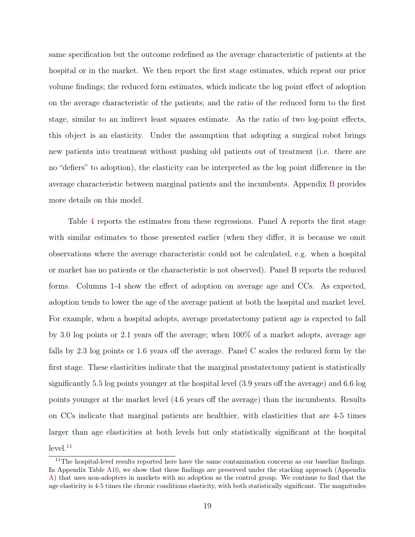same specification but the outcome redefined as the average characteristic of patients at the hospital or in the market. We then report the first stage estimates, which repeat our prior volume findings; the reduced form estimates, which indicate the log point effect of adoption on the average characteristic of the patients; and the ratio of the reduced form to the first stage, similar to an indirect least squares estimate. As the ratio of two log-point effects, this object is an elasticity. Under the assumption that adopting a surgical robot brings new patients into treatment without pushing old patients out of treatment (i.e. there are no "defiers" to adoption), the elasticity can be interpreted as the log point difference in the average characteristic between marginal patients and the incumbents. Appendix [B](#page-42-0) provides more details on this model.

Table [4](#page-38-0) reports the estimates from these regressions. Panel A reports the first stage with similar estimates to those presented earlier (when they differ, it is because we omit observations where the average characteristic could not be calculated, e.g. when a hospital or market has no patients or the characteristic is not observed). Panel B reports the reduced forms. Columns 1-4 show the effect of adoption on average age and CCs. As expected, adoption tends to lower the age of the average patient at both the hospital and market level. For example, when a hospital adopts, average prostatectomy patient age is expected to fall by 3.0 log points or 2.1 years off the average; when 100% of a market adopts, average age falls by 2.3 log points or 1.6 years off the average. Panel C scales the reduced form by the first stage. These elasticities indicate that the marginal prostatectomy patient is statistically significantly 5.5 log points younger at the hospital level (3.9 years off the average) and 6.6 log points younger at the market level (4.6 years off the average) than the incumbents. Results on CCs indicate that marginal patients are healthier, with elasticities that are 4-5 times larger than age elasticities at both levels but only statistically significant at the hospital  $level.<sup>11</sup>$  $level.<sup>11</sup>$  $level.<sup>11</sup>$ 

<sup>&</sup>lt;sup>11</sup>The hospital-level results reported here have the same contamination concerns as our baseline findings. In Appendix Table [A10,](#page-58-0) we show that these findings are preserved under the stacking approach (Appendix [A\)](#page-40-0) that uses non-adopters in markets with no adoption as the control group. We continue to find that the age elasticity is 4-5 times the chronic conditions elasticity, with both statistically significant. The magnitudes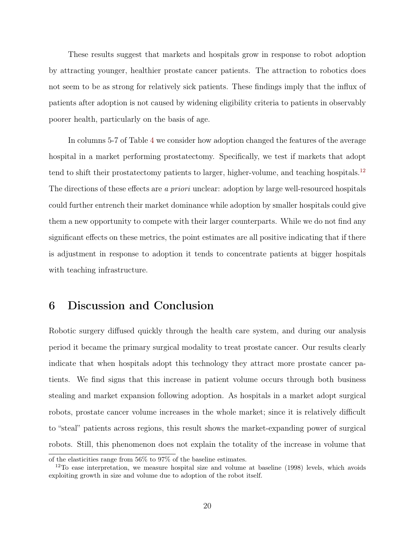These results suggest that markets and hospitals grow in response to robot adoption by attracting younger, healthier prostate cancer patients. The attraction to robotics does not seem to be as strong for relatively sick patients. These findings imply that the influx of patients after adoption is not caused by widening eligibility criteria to patients in observably poorer health, particularly on the basis of age.

In columns 5-7 of Table [4](#page-38-0) we consider how adoption changed the features of the average hospital in a market performing prostatectomy. Specifically, we test if markets that adopt tend to shift their prostatectomy patients to larger, higher-volume, and teaching hospitals.<sup>[12](#page-0-0)</sup> The directions of these effects are a priori unclear: adoption by large well-resourced hospitals could further entrench their market dominance while adoption by smaller hospitals could give them a new opportunity to compete with their larger counterparts. While we do not find any significant effects on these metrics, the point estimates are all positive indicating that if there is adjustment in response to adoption it tends to concentrate patients at bigger hospitals with teaching infrastructure.

## 6 Discussion and Conclusion

Robotic surgery diffused quickly through the health care system, and during our analysis period it became the primary surgical modality to treat prostate cancer. Our results clearly indicate that when hospitals adopt this technology they attract more prostate cancer patients. We find signs that this increase in patient volume occurs through both business stealing and market expansion following adoption. As hospitals in a market adopt surgical robots, prostate cancer volume increases in the whole market; since it is relatively difficult to "steal" patients across regions, this result shows the market-expanding power of surgical robots. Still, this phenomenon does not explain the totality of the increase in volume that

of the elasticities range from 56% to 97% of the baseline estimates.

 $12$ To ease interpretation, we measure hospital size and volume at baseline (1998) levels, which avoids exploiting growth in size and volume due to adoption of the robot itself.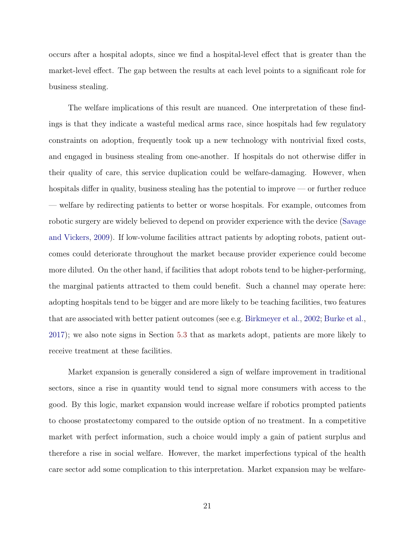occurs after a hospital adopts, since we find a hospital-level effect that is greater than the market-level effect. The gap between the results at each level points to a significant role for business stealing.

The welfare implications of this result are nuanced. One interpretation of these findings is that they indicate a wasteful medical arms race, since hospitals had few regulatory constraints on adoption, frequently took up a new technology with nontrivial fixed costs, and engaged in business stealing from one-another. If hospitals do not otherwise differ in their quality of care, this service duplication could be welfare-damaging. However, when hospitals differ in quality, business stealing has the potential to improve — or further reduce — welfare by redirecting patients to better or worse hospitals. For example, outcomes from robotic surgery are widely believed to depend on provider experience with the device [\(Savage](#page-28-8) [and Vickers,](#page-28-8) [2009\)](#page-28-8). If low-volume facilities attract patients by adopting robots, patient outcomes could deteriorate throughout the market because provider experience could become more diluted. On the other hand, if facilities that adopt robots tend to be higher-performing, the marginal patients attracted to them could benefit. Such a channel may operate here: adopting hospitals tend to be bigger and are more likely to be teaching facilities, two features that are associated with better patient outcomes (see e.g. [Birkmeyer et al.,](#page-24-8) [2002;](#page-24-8) [Burke et al.,](#page-24-9) [2017\)](#page-24-9); we also note signs in Section [5.3](#page-17-0) that as markets adopt, patients are more likely to receive treatment at these facilities.

Market expansion is generally considered a sign of welfare improvement in traditional sectors, since a rise in quantity would tend to signal more consumers with access to the good. By this logic, market expansion would increase welfare if robotics prompted patients to choose prostatectomy compared to the outside option of no treatment. In a competitive market with perfect information, such a choice would imply a gain of patient surplus and therefore a rise in social welfare. However, the market imperfections typical of the health care sector add some complication to this interpretation. Market expansion may be welfare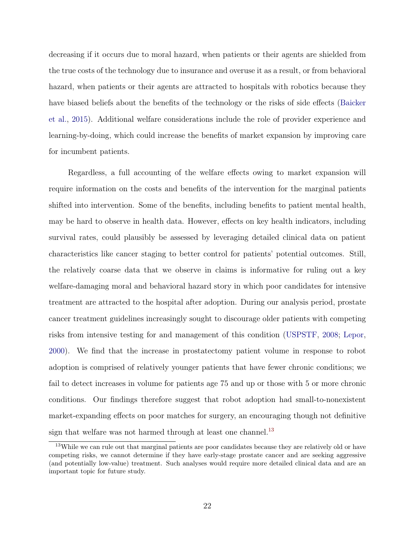decreasing if it occurs due to moral hazard, when patients or their agents are shielded from the true costs of the technology due to insurance and overuse it as a result, or from behavioral hazard, when patients or their agents are attracted to hospitals with robotics because they have biased beliefs about the benefits of the technology or the risks of side effects [\(Baicker](#page-23-4) [et al.,](#page-23-4) [2015\)](#page-23-4). Additional welfare considerations include the role of provider experience and learning-by-doing, which could increase the benefits of market expansion by improving care for incumbent patients.

Regardless, a full accounting of the welfare effects owing to market expansion will require information on the costs and benefits of the intervention for the marginal patients shifted into intervention. Some of the benefits, including benefits to patient mental health, may be hard to observe in health data. However, effects on key health indicators, including survival rates, could plausibly be assessed by leveraging detailed clinical data on patient characteristics like cancer staging to better control for patients' potential outcomes. Still, the relatively coarse data that we observe in claims is informative for ruling out a key welfare-damaging moral and behavioral hazard story in which poor candidates for intensive treatment are attracted to the hospital after adoption. During our analysis period, prostate cancer treatment guidelines increasingly sought to discourage older patients with competing risks from intensive testing for and management of this condition [\(USPSTF,](#page-29-4) [2008;](#page-29-4) [Lepor,](#page-27-1) [2000\)](#page-27-1). We find that the increase in prostatectomy patient volume in response to robot adoption is comprised of relatively younger patients that have fewer chronic conditions; we fail to detect increases in volume for patients age 75 and up or those with 5 or more chronic conditions. Our findings therefore suggest that robot adoption had small-to-nonexistent market-expanding effects on poor matches for surgery, an encouraging though not definitive sign that welfare was not harmed through at least one channel.<sup>[13](#page-0-0)</sup>

<sup>&</sup>lt;sup>13</sup>While we can rule out that marginal patients are poor candidates because they are relatively old or have competing risks, we cannot determine if they have early-stage prostate cancer and are seeking aggressive (and potentially low-value) treatment. Such analyses would require more detailed clinical data and are an important topic for future study.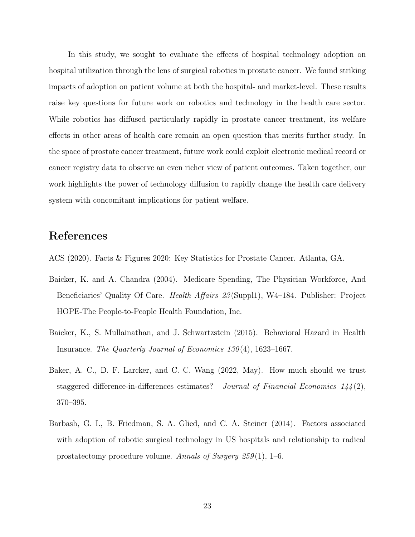In this study, we sought to evaluate the effects of hospital technology adoption on hospital utilization through the lens of surgical robotics in prostate cancer. We found striking impacts of adoption on patient volume at both the hospital- and market-level. These results raise key questions for future work on robotics and technology in the health care sector. While robotics has diffused particularly rapidly in prostate cancer treatment, its welfare effects in other areas of health care remain an open question that merits further study. In the space of prostate cancer treatment, future work could exploit electronic medical record or cancer registry data to observe an even richer view of patient outcomes. Taken together, our work highlights the power of technology diffusion to rapidly change the health care delivery system with concomitant implications for patient welfare.

### References

<span id="page-23-2"></span>ACS (2020). Facts & Figures 2020: Key Statistics for Prostate Cancer. Atlanta, GA.

- <span id="page-23-1"></span>Baicker, K. and A. Chandra (2004). Medicare Spending, The Physician Workforce, And Beneficiaries' Quality Of Care. *Health Affairs 23* (Suppl1), W4-184. Publisher: Project HOPE-The People-to-People Health Foundation, Inc.
- <span id="page-23-4"></span>Baicker, K., S. Mullainathan, and J. Schwartzstein (2015). Behavioral Hazard in Health Insurance. The Quarterly Journal of Economics 130 (4), 1623–1667.
- <span id="page-23-3"></span>Baker, A. C., D. F. Larcker, and C. C. Wang (2022, May). How much should we trust staggered difference-in-differences estimates? *Journal of Financial Economics* 144(2), 370–395.
- <span id="page-23-0"></span>Barbash, G. I., B. Friedman, S. A. Glied, and C. A. Steiner (2014). Factors associated with adoption of robotic surgical technology in US hospitals and relationship to radical prostatectomy procedure volume. Annals of Surgery  $259(1)$ , 1–6.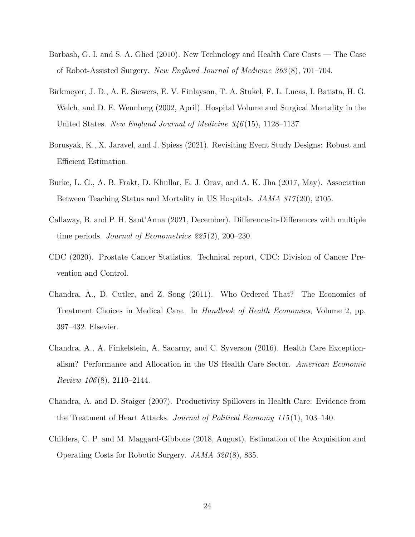- <span id="page-24-10"></span><span id="page-24-0"></span>Barbash, G. I. and S. A. Glied (2010). New Technology and Health Care Costs — The Case of Robot-Assisted Surgery. New England Journal of Medicine 363 (8), 701–704.
- <span id="page-24-8"></span>Birkmeyer, J. D., A. E. Siewers, E. V. Finlayson, T. A. Stukel, F. L. Lucas, I. Batista, H. G. Welch, and D. E. Wennberg (2002, April). Hospital Volume and Surgical Mortality in the United States. New England Journal of Medicine 346 (15), 1128–1137.
- <span id="page-24-6"></span>Borusyak, K., X. Jaravel, and J. Spiess (2021). Revisiting Event Study Designs: Robust and Efficient Estimation.
- <span id="page-24-9"></span>Burke, L. G., A. B. Frakt, D. Khullar, E. J. Orav, and A. K. Jha (2017, May). Association Between Teaching Status and Mortality in US Hospitals. *JAMA 317*(20), 2105.
- <span id="page-24-7"></span>Callaway, B. and P. H. Sant'Anna (2021, December). Difference-in-Differences with multiple time periods. Journal of Econometrics 225 (2), 200–230.
- <span id="page-24-5"></span>CDC (2020). Prostate Cancer Statistics. Technical report, CDC: Division of Cancer Prevention and Control.
- <span id="page-24-4"></span>Chandra, A., D. Cutler, and Z. Song (2011). Who Ordered That? The Economics of Treatment Choices in Medical Care. In Handbook of Health Economics, Volume 2, pp. 397–432. Elsevier.
- <span id="page-24-3"></span>Chandra, A., A. Finkelstein, A. Sacarny, and C. Syverson (2016). Health Care Exceptionalism? Performance and Allocation in the US Health Care Sector. American Economic Review  $106(8)$ , 2110–2144.
- <span id="page-24-2"></span>Chandra, A. and D. Staiger (2007). Productivity Spillovers in Health Care: Evidence from the Treatment of Heart Attacks. Journal of Political Economy 115 (1), 103–140.
- <span id="page-24-1"></span>Childers, C. P. and M. Maggard-Gibbons (2018, August). Estimation of the Acquisition and Operating Costs for Robotic Surgery. JAMA 320 (8), 835.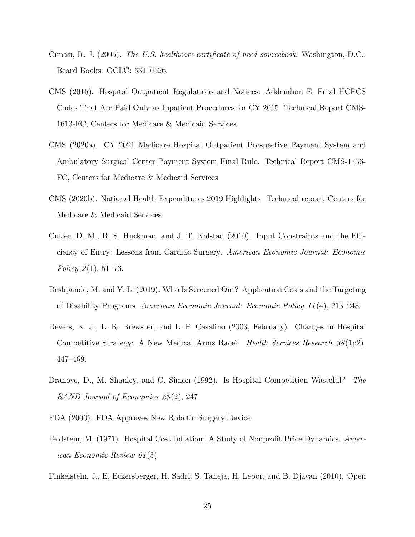- <span id="page-25-2"></span>Cimasi, R. J. (2005). The U.S. healthcare certificate of need sourcebook. Washington, D.C.: Beard Books. OCLC: 63110526.
- <span id="page-25-7"></span>CMS (2015). Hospital Outpatient Regulations and Notices: Addendum E: Final HCPCS Codes That Are Paid Only as Inpatient Procedures for CY 2015. Technical Report CMS-1613-FC, Centers for Medicare & Medicaid Services.
- <span id="page-25-8"></span>CMS (2020a). CY 2021 Medicare Hospital Outpatient Prospective Payment System and Ambulatory Surgical Center Payment System Final Rule. Technical Report CMS-1736- FC, Centers for Medicare & Medicaid Services.
- <span id="page-25-0"></span>CMS (2020b). National Health Expenditures 2019 Highlights. Technical report, Centers for Medicare & Medicaid Services.
- <span id="page-25-1"></span>Cutler, D. M., R. S. Huckman, and J. T. Kolstad (2010). Input Constraints and the Efficiency of Entry: Lessons from Cardiac Surgery. American Economic Journal: Economic Policy  $2(1), 51-76.$
- <span id="page-25-10"></span>Deshpande, M. and Y. Li (2019). Who Is Screened Out? Application Costs and the Targeting of Disability Programs. American Economic Journal: Economic Policy 11 (4), 213–248.
- <span id="page-25-5"></span>Devers, K. J., L. R. Brewster, and L. P. Casalino (2003, February). Changes in Hospital Competitive Strategy: A New Medical Arms Race? Health Services Research 38 (1p2), 447–469.
- <span id="page-25-4"></span>Dranove, D., M. Shanley, and C. Simon (1992). Is Hospital Competition Wasteful? The RAND Journal of Economics 23 (2), 247.
- <span id="page-25-9"></span><span id="page-25-3"></span>FDA (2000). FDA Approves New Robotic Surgery Device.
- Feldstein, M. (1971). Hospital Cost Inflation: A Study of Nonprofit Price Dynamics. American Economic Review 61 (5).
- <span id="page-25-6"></span>Finkelstein, J., E. Eckersberger, H. Sadri, S. Taneja, H. Lepor, and B. Djavan (2010). Open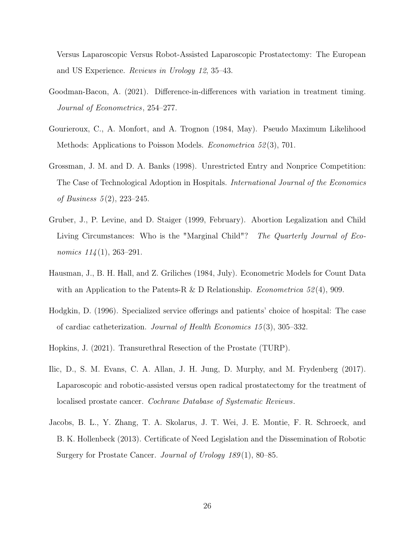Versus Laparoscopic Versus Robot-Assisted Laparoscopic Prostatectomy: The European and US Experience. Reviews in Urology 12, 35–43.

- <span id="page-26-7"></span>Goodman-Bacon, A. (2021). Difference-in-differences with variation in treatment timing. Journal of Econometrics, 254–277.
- <span id="page-26-6"></span>Gourieroux, C., A. Monfort, and A. Trognon (1984, May). Pseudo Maximum Likelihood Methods: Applications to Poisson Models. Econometrica 52 (3), 701.
- <span id="page-26-3"></span>Grossman, J. M. and D. A. Banks (1998). Unrestricted Entry and Nonprice Competition: The Case of Technological Adoption in Hospitals. International Journal of the Economics of Business 5 (2), 223–245.
- <span id="page-26-8"></span>Gruber, J., P. Levine, and D. Staiger (1999, February). Abortion Legalization and Child Living Circumstances: Who is the "Marginal Child"? The Quarterly Journal of Economics  $114(1)$ , 263–291.
- <span id="page-26-5"></span>Hausman, J., B. H. Hall, and Z. Griliches (1984, July). Econometric Models for Count Data with an Application to the Patents-R & D Relationship. *Econometrica* 52(4), 909.
- <span id="page-26-2"></span>Hodgkin, D. (1996). Specialized service offerings and patients' choice of hospital: The case of cardiac catheterization. Journal of Health Economics 15 (3), 305–332.
- <span id="page-26-4"></span><span id="page-26-1"></span>Hopkins, J. (2021). Transurethral Resection of the Prostate (TURP).
- Ilic, D., S. M. Evans, C. A. Allan, J. H. Jung, D. Murphy, and M. Frydenberg (2017). Laparoscopic and robotic-assisted versus open radical prostatectomy for the treatment of localised prostate cancer. Cochrane Database of Systematic Reviews.
- <span id="page-26-0"></span>Jacobs, B. L., Y. Zhang, T. A. Skolarus, J. T. Wei, J. E. Montie, F. R. Schroeck, and B. K. Hollenbeck (2013). Certificate of Need Legislation and the Dissemination of Robotic Surgery for Prostate Cancer. Journal of Urology 189(1), 80–85.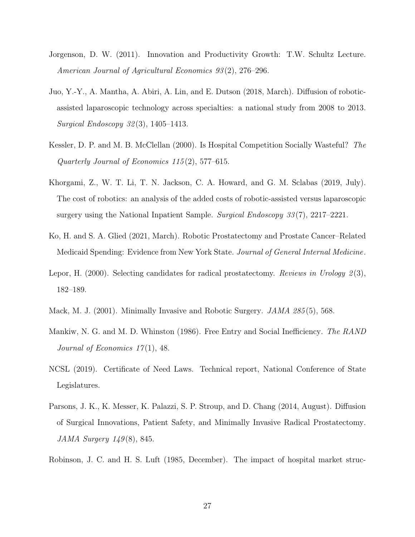- <span id="page-27-0"></span>Jorgenson, D. W. (2011). Innovation and Productivity Growth: T.W. Schultz Lecture. American Journal of Agricultural Economics 93 (2), 276–296.
- <span id="page-27-6"></span>Juo, Y.-Y., A. Mantha, A. Abiri, A. Lin, and E. Dutson (2018, March). Diffusion of roboticassisted laparoscopic technology across specialties: a national study from 2008 to 2013. Surgical Endoscopy 32 (3), 1405–1413.
- <span id="page-27-4"></span>Kessler, D. P. and M. B. McClellan (2000). Is Hospital Competition Socially Wasteful? The Quarterly Journal of Economics 115 (2), 577–615.
- <span id="page-27-8"></span>Khorgami, Z., W. T. Li, T. N. Jackson, C. A. Howard, and G. M. Sclabas (2019, July). The cost of robotics: an analysis of the added costs of robotic-assisted versus laparoscopic surgery using the National Inpatient Sample. Surgical Endoscopy 33(7), 2217–2221.
- <span id="page-27-10"></span>Ko, H. and S. A. Glied (2021, March). Robotic Prostatectomy and Prostate Cancer–Related Medicaid Spending: Evidence from New York State. Journal of General Internal Medicine.
- <span id="page-27-1"></span>Lepor, H. (2000). Selecting candidates for radical prostatectomy. Reviews in Urology 2(3), 182–189.
- <span id="page-27-9"></span><span id="page-27-5"></span>Mack, M. J. (2001). Minimally Invasive and Robotic Surgery. *JAMA 285* (5), 568.
- Mankiw, N. G. and M. D. Whinston (1986). Free Entry and Social Inefficiency. The RAND Journal of Economics  $17(1)$ , 48.
- <span id="page-27-2"></span>NCSL (2019). Certificate of Need Laws. Technical report, National Conference of State Legislatures.
- <span id="page-27-7"></span>Parsons, J. K., K. Messer, K. Palazzi, S. P. Stroup, and D. Chang (2014, August). Diffusion of Surgical Innovations, Patient Safety, and Minimally Invasive Radical Prostatectomy. JAMA Surgery 149 (8), 845.
- <span id="page-27-3"></span>Robinson, J. C. and H. S. Luft (1985, December). The impact of hospital market struc-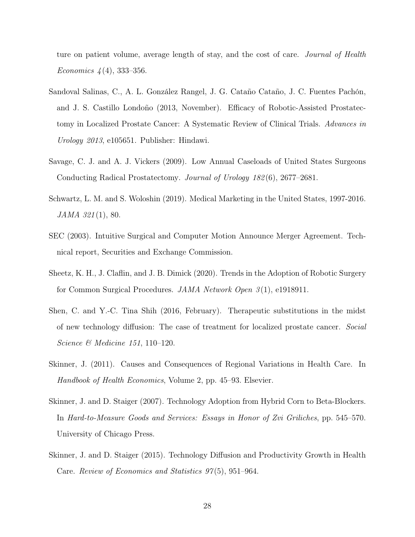ture on patient volume, average length of stay, and the cost of care. *Journal of Health* Economics  $4(4)$ , 333-356.

- <span id="page-28-4"></span>Sandoval Salinas, C., A. L. González Rangel, J. G. Cataño Cataño, J. C. Fuentes Pachón, and J. S. Castillo Londoño (2013, November). Efficacy of Robotic-Assisted Prostatectomy in Localized Prostate Cancer: A Systematic Review of Clinical Trials. Advances in Urology 2013, e105651. Publisher: Hindawi.
- <span id="page-28-8"></span>Savage, C. J. and A. J. Vickers (2009). Low Annual Caseloads of United States Surgeons Conducting Radical Prostatectomy. Journal of Urology 182 (6), 2677–2681.
- <span id="page-28-0"></span>Schwartz, L. M. and S. Woloshin (2019). Medical Marketing in the United States, 1997-2016. JAMA 321 (1), 80.
- <span id="page-28-7"></span>SEC (2003). Intuitive Surgical and Computer Motion Announce Merger Agreement. Technical report, Securities and Exchange Commission.
- <span id="page-28-1"></span>Sheetz, K. H., J. Claflin, and J. B. Dimick (2020). Trends in the Adoption of Robotic Surgery for Common Surgical Procedures. JAMA Network Open 3 (1), e1918911.
- <span id="page-28-5"></span>Shen, C. and Y.-C. Tina Shih (2016, February). Therapeutic substitutions in the midst of new technology diffusion: The case of treatment for localized prostate cancer. Social Science & Medicine 151, 110–120.
- <span id="page-28-6"></span>Skinner, J. (2011). Causes and Consequences of Regional Variations in Health Care. In Handbook of Health Economics, Volume 2, pp. 45–93. Elsevier.
- <span id="page-28-2"></span>Skinner, J. and D. Staiger (2007). Technology Adoption from Hybrid Corn to Beta-Blockers. In Hard-to-Measure Goods and Services: Essays in Honor of Zvi Griliches, pp. 545–570. University of Chicago Press.
- <span id="page-28-3"></span>Skinner, J. and D. Staiger (2015). Technology Diffusion and Productivity Growth in Health Care. Review of Economics and Statistics 97 (5), 951–964.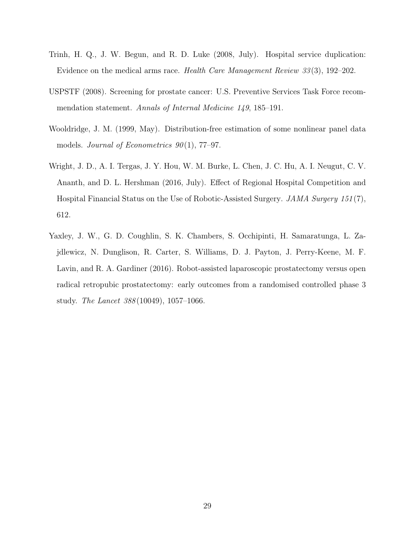- <span id="page-29-1"></span>Trinh, H. Q., J. W. Begun, and R. D. Luke (2008, July). Hospital service duplication: Evidence on the medical arms race. Health Care Management Review 33 (3), 192–202.
- <span id="page-29-4"></span>USPSTF (2008). Screening for prostate cancer: U.S. Preventive Services Task Force recommendation statement. Annals of Internal Medicine 149, 185–191.
- <span id="page-29-3"></span>Wooldridge, J. M. (1999, May). Distribution-free estimation of some nonlinear panel data models. Journal of Econometrics  $90(1)$ , 77-97.
- <span id="page-29-2"></span>Wright, J. D., A. I. Tergas, J. Y. Hou, W. M. Burke, L. Chen, J. C. Hu, A. I. Neugut, C. V. Ananth, and D. L. Hershman (2016, July). Effect of Regional Hospital Competition and Hospital Financial Status on the Use of Robotic-Assisted Surgery. JAMA Surgery 151 (7), 612.
- <span id="page-29-0"></span>Yaxley, J. W., G. D. Coughlin, S. K. Chambers, S. Occhipinti, H. Samaratunga, L. Zajdlewicz, N. Dunglison, R. Carter, S. Williams, D. J. Payton, J. Perry-Keene, M. F. Lavin, and R. A. Gardiner (2016). Robot-assisted laparoscopic prostatectomy versus open radical retropubic prostatectomy: early outcomes from a randomised controlled phase 3 study. The Lancet 388 (10049), 1057–1066.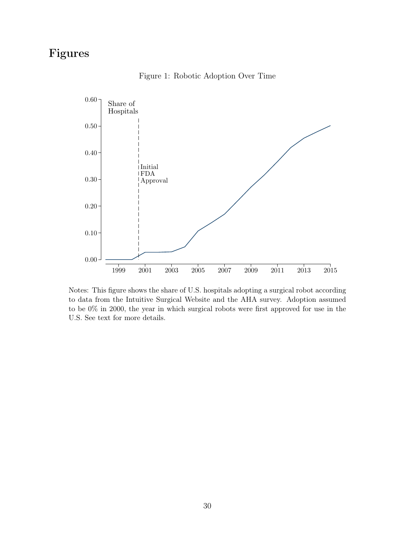## <span id="page-30-0"></span>Figures



Figure 1: Robotic Adoption Over Time

Notes: This figure shows the share of U.S. hospitals adopting a surgical robot according to data from the Intuitive Surgical Website and the AHA survey. Adoption assumed to be 0% in 2000, the year in which surgical robots were first approved for use in the U.S. See text for more details.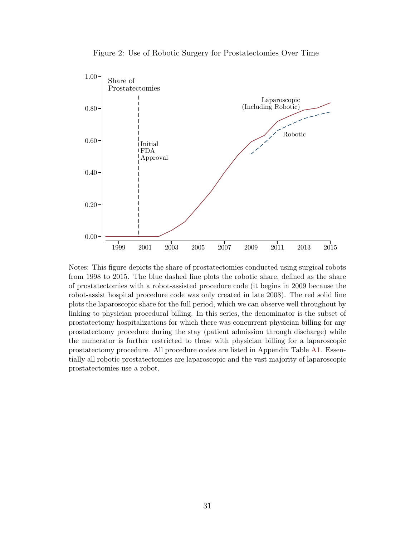<span id="page-31-0"></span>

Figure 2: Use of Robotic Surgery for Prostatectomies Over Time

Notes: This figure depicts the share of prostatectomies conducted using surgical robots from 1998 to 2015. The blue dashed line plots the robotic share, defined as the share of prostatectomies with a robot-assisted procedure code (it begins in 2009 because the robot-assist hospital procedure code was only created in late 2008). The red solid line plots the laparoscopic share for the full period, which we can observe well throughout by linking to physician procedural billing. In this series, the denominator is the subset of prostatectomy hospitalizations for which there was concurrent physician billing for any prostatectomy procedure during the stay (patient admission through discharge) while the numerator is further restricted to those with physician billing for a laparoscopic prostatectomy procedure. All procedure codes are listed in Appendix Table [A1.](#page-49-0) Essentially all robotic prostatectomies are laparoscopic and the vast majority of laparoscopic prostatectomies use a robot.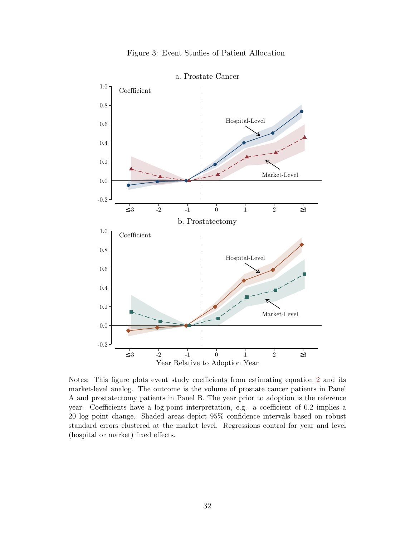<span id="page-32-0"></span>

Figure 3: Event Studies of Patient Allocation

Notes: This figure plots event study coefficients from estimating equation [2](#page-11-1) and its market-level analog. The outcome is the volume of prostate cancer patients in Panel A and prostatectomy patients in Panel B. The year prior to adoption is the reference year. Coefficients have a log-point interpretation, e.g. a coefficient of 0.2 implies a 20 log point change. Shaded areas depict 95% confidence intervals based on robust standard errors clustered at the market level. Regressions control for year and level (hospital or market) fixed effects.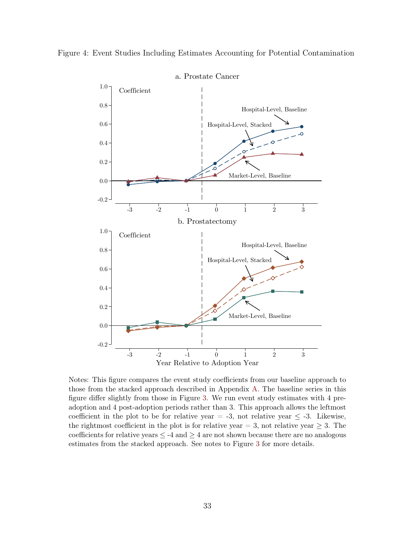<span id="page-33-0"></span>



Notes: This figure compares the event study coefficients from our baseline approach to those from the stacked approach described in Appendix [A.](#page-40-0) The baseline series in this figure differ slightly from those in Figure [3.](#page-32-0) We run event study estimates with 4 preadoption and 4 post-adoption periods rather than 3. This approach allows the leftmost coefficient in the plot to be for relative year = -3, not relative year  $\leq$  -3. Likewise, the rightmost coefficient in the plot is for relative year = 3, not relative year  $\geq$  3. The coefficients for relative years  $\leq$  -4 and  $\geq$  4 are not shown because there are no analogous estimates from the stacked approach. See notes to Figure [3](#page-32-0) for more details.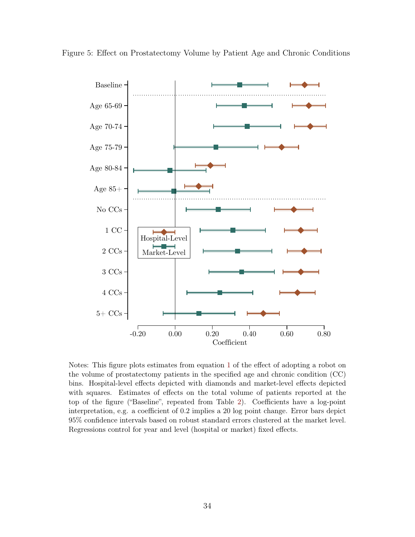<span id="page-34-0"></span>



Notes: This figure plots estimates from equation [1](#page-11-0) of the effect of adopting a robot on the volume of prostatectomy patients in the specified age and chronic condition (CC) bins. Hospital-level effects depicted with diamonds and market-level effects depicted with squares. Estimates of effects on the total volume of patients reported at the top of the figure ("Baseline", repeated from Table [2\)](#page-36-0). Coefficients have a log-point interpretation, e.g. a coefficient of 0.2 implies a 20 log point change. Error bars depict 95% confidence intervals based on robust standard errors clustered at the market level. Regressions control for year and level (hospital or market) fixed effects.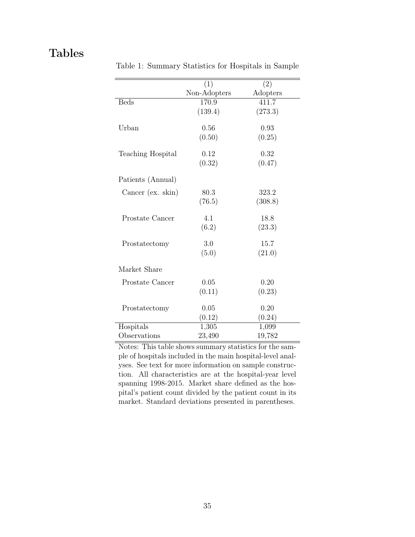## <span id="page-35-0"></span>Tables

|                   | (1)          | $\overline{(2)}$ |
|-------------------|--------------|------------------|
|                   |              |                  |
|                   | Non-Adopters | Adopters         |
| <b>Beds</b>       | 170.9        | 411.7            |
|                   | (139.4)      | (273.3)          |
|                   |              |                  |
| Urban             | 0.56         | 0.93             |
|                   | (0.50)       | (0.25)           |
| Teaching Hospital | 0.12         | 0.32             |
|                   | (0.32)       | (0.47)           |
|                   |              |                  |
| Patients (Annual) |              |                  |
| Cancer (ex. skin) | 80.3         | 323.2            |
|                   | (76.5)       | (308.8)          |
|                   |              |                  |
| Prostate Cancer   | 4.1          | 18.8             |
|                   | (6.2)        | (23.3)           |
|                   |              |                  |
| Prostatectomy     | 3.0          | 15.7             |
|                   | (5.0)        | (21.0)           |
|                   |              |                  |
| Market Share      |              |                  |
| Prostate Cancer   | 0.05         | 0.20             |
|                   | (0.11)       | (0.23)           |
|                   |              |                  |
| Prostatectomy     | 0.05         | 0.20             |
|                   | (0.12)       | (0.24)           |
| Hospitals         | 1,305        | 1,099            |
| Observations      | 23,490       | 19,782           |

Table 1: Summary Statistics for Hospitals in Sample

Notes: This table shows summary statistics for the sample of hospitals included in the main hospital-level analyses. See text for more information on sample construction. All characteristics are at the hospital-year level spanning 1998-2015. Market share defined as the hospital's patient count divided by the patient count in its market. Standard deviations presented in parentheses.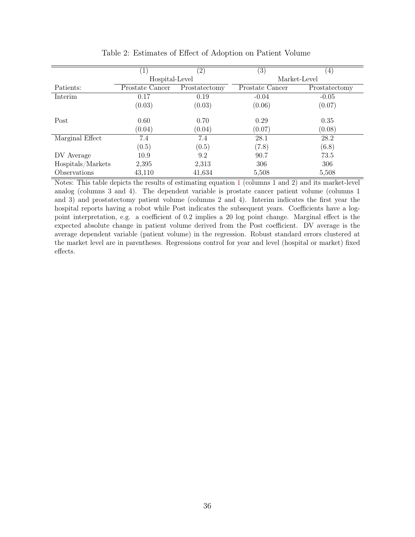<span id="page-36-0"></span>

|                   | $\perp$         | $\left( 2\right)$ | $\left( 3\right)$ | (4)            |  |
|-------------------|-----------------|-------------------|-------------------|----------------|--|
|                   | Hospital-Level  |                   | Market-Level      |                |  |
| Patients:         | Prostate Cancer | Prostatectomy     | Prostate Cancer   | Prostatectomy  |  |
| Interim           | 0.17            | 0.19              | $-0.04$           | $-0.05$        |  |
|                   | (0.03)          | (0.03)            | (0.06)            | (0.07)         |  |
| Post              | 0.60<br>(0.04)  | 0.70<br>(0.04)    | 0.29<br>(0.07)    | 0.35<br>(0.08) |  |
| Marginal Effect   | 7.4             | 7.4               | 28.1              | 28.2           |  |
|                   | (0.5)           | (0.5)             | (7.8)             | (6.8)          |  |
| DV Average        | 10.9            | 9.2               | 90.7              | 73.5           |  |
| Hospitals/Markets | 2,395           | 2,313             | 306               | 306            |  |
| Observations      | 43,110          | 41,634            | 5,508             | 5,508          |  |

<span id="page-36-1"></span>Table 2: Estimates of Effect of Adoption on Patient Volume

Notes: This table depicts the results of estimating equation [1](#page-11-0) (columns 1 and 2) and its market-level analog (columns 3 and 4). The dependent variable is prostate cancer patient volume (columns 1 and 3) and prostatectomy patient volume (columns 2 and 4). Interim indicates the first year the hospital reports having a robot while Post indicates the subsequent years. Coefficients have a logpoint interpretation, e.g. a coefficient of 0.2 implies a 20 log point change. Marginal effect is the expected absolute change in patient volume derived from the Post coefficient. DV average is the average dependent variable (patient volume) in the regression. Robust standard errors clustered at the market level are in parentheses. Regressions control for year and level (hospital or market) fixed effects.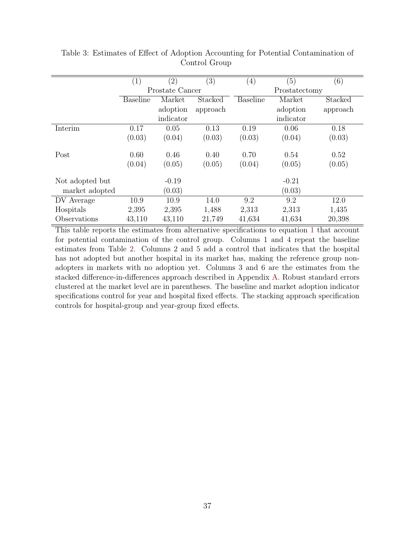|                 | (1)             | $\left( 2\right)$ | (3)      | $\left( 4\right)$ | (5)       | (6)      |  |
|-----------------|-----------------|-------------------|----------|-------------------|-----------|----------|--|
|                 |                 | Prostate Cancer   |          | Prostatectomy     |           |          |  |
|                 | <b>Baseline</b> | Market            | Stacked  | <b>Baseline</b>   | Market    | Stacked  |  |
|                 |                 | adoption          | approach |                   | adoption  | approach |  |
|                 |                 | indicator         |          |                   | indicator |          |  |
| Interim         | 0.17            | 0.05              | 0.13     | 0.19              | 0.06      | 0.18     |  |
|                 | (0.03)          | (0.04)            | (0.03)   | (0.03)            | (0.04)    | (0.03)   |  |
|                 |                 |                   |          |                   |           |          |  |
| Post            | 0.60            | 0.46              | 0.40     | 0.70              | 0.54      | 0.52     |  |
|                 | (0.04)          | (0.05)            | (0.05)   | (0.04)            | (0.05)    | (0.05)   |  |
|                 |                 |                   |          |                   |           |          |  |
| Not adopted but |                 | $-0.19$           |          |                   | $-0.21$   |          |  |
| market adopted  |                 | (0.03)            |          |                   | (0.03)    |          |  |
| DV Average      | 10.9            | 10.9              | 14.0     | 9.2               | 9.2       | 12.0     |  |
| Hospitals       | 2,395           | 2,395             | 1,488    | 2,313             | 2,313     | 1,435    |  |
| Observations    | 43,110          | 43,110            | 21,749   | 41,634            | 41,634    | 20,398   |  |

<span id="page-37-0"></span>Table 3: Estimates of Effect of Adoption Accounting for Potential Contamination of Control Group

This table reports the estimates from alternative specifications to equation [1](#page-11-0) that account for potential contamination of the control group. Columns 1 and 4 repeat the baseline estimates from Table [2.](#page-36-0) Columns 2 and 5 add a control that indicates that the hospital has not adopted but another hospital in its market has, making the reference group nonadopters in markets with no adoption yet. Columns 3 and 6 are the estimates from the stacked difference-in-differences approach described in Appendix [A.](#page-40-0) Robust standard errors clustered at the market level are in parentheses. The baseline and market adoption indicator specifications control for year and hospital fixed effects. The stacking approach specification controls for hospital-group and year-group fixed effects.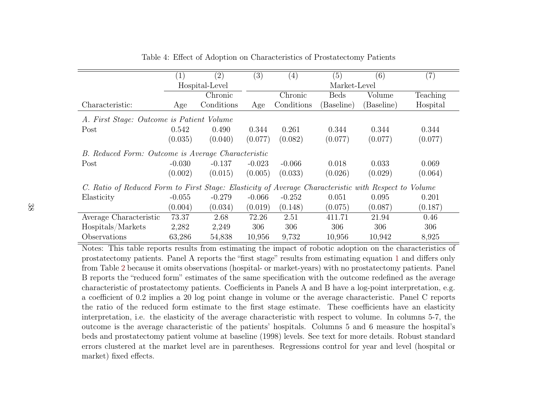|                                                                                                      | $\left(1\right)$                                   | (2)            | (3)      | $\left( 4\right)$ | (5)          | (6)        | (7)      |  |  |  |
|------------------------------------------------------------------------------------------------------|----------------------------------------------------|----------------|----------|-------------------|--------------|------------|----------|--|--|--|
|                                                                                                      |                                                    | Hospital-Level |          |                   | Market-Level |            |          |  |  |  |
|                                                                                                      | Chronic                                            |                |          | Chronic           | <b>Beds</b>  | Volume     | Teaching |  |  |  |
| Characteristic:                                                                                      | Age                                                | Conditions     | Age      | Conditions        | (Baseline)   | (Baseline) | Hospital |  |  |  |
| A. First Stage: Outcome is Patient Volume                                                            |                                                    |                |          |                   |              |            |          |  |  |  |
| Post                                                                                                 | 0.542                                              | 0.490          | 0.344    | 0.261             | 0.344        | 0.344      | 0.344    |  |  |  |
|                                                                                                      | (0.035)                                            | (0.040)        | (0.077)  | (0.082)           | (0.077)      | (0.077)    | (0.077)  |  |  |  |
|                                                                                                      | B. Reduced Form: Outcome is Average Characteristic |                |          |                   |              |            |          |  |  |  |
| Post                                                                                                 | $-0.030$                                           | $-0.137$       | $-0.023$ | $-0.066$          | 0.018        | 0.033      | 0.069    |  |  |  |
|                                                                                                      | (0.002)                                            | (0.015)        | (0.005)  | (0.033)           | (0.026)      | (0.029)    | (0.064)  |  |  |  |
| C. Ratio of Reduced Form to First Stage: Elasticity of Average Characteristic with Respect to Volume |                                                    |                |          |                   |              |            |          |  |  |  |
| Elasticity                                                                                           | $-0.055$                                           | $-0.279$       | $-0.066$ | $-0.252$          | 0.051        | 0.095      | 0.201    |  |  |  |
|                                                                                                      | (0.004)                                            | (0.034)        | (0.019)  | (0.148)           | (0.075)      | (0.087)    | (0.187)  |  |  |  |
| Average Characteristic                                                                               | 73.37                                              | 2.68           | 72.26    | 2.51              | 411.71       | 21.94      | 0.46     |  |  |  |
| Hospitals/Markets                                                                                    | 2,282                                              | 2,249          | 306      | 306               | 306          | 306        | 306      |  |  |  |
| Observations                                                                                         | 63,286                                             | 54,838         | 10,956   | 9,732             | 10,956       | 10,942     | 8,925    |  |  |  |

<span id="page-38-1"></span><span id="page-38-0"></span>Table 4: Effect of Adoption on Characteristics of Prostatectomy Patients

 Notes: This table reports results from estimating the impact of robotic adoption on the characteristics of prostatectomy patients. Panel A reports the "first stage" results from estimating equation [1](#page-11-2) and differs only from Table[2](#page-36-1) because it omits observations (hospital- or market-years) with no prostatectomy patients. Panel B reports the "reduced form" estimates of the same specification with the outcome redefined as the average characteristic of prostatectomy patients. Coefficients in Panels A and B have <sup>a</sup> log-point interpretation, e.g.<sup>a</sup> coefficient of 0.2 implies <sup>a</sup> 20 log point change in volume or the average characteristic. Panel C reports the ratio of the reduced form estimate to the first stage estimate. These coefficients have an elasticity interpretation, i.e. the elasticity of the average characteristic with respect to volume. In columns 5-7, the outcome is the average characteristic of the patients' hospitals. Columns 5 and 6 measure the hospital's beds and prostatectomy patient volume at baseline (1998) levels. See text for more details. Robust standard errors clustered at the market level are in parentheses. Regressions control for year and level (hospital ormarket) fixed effects.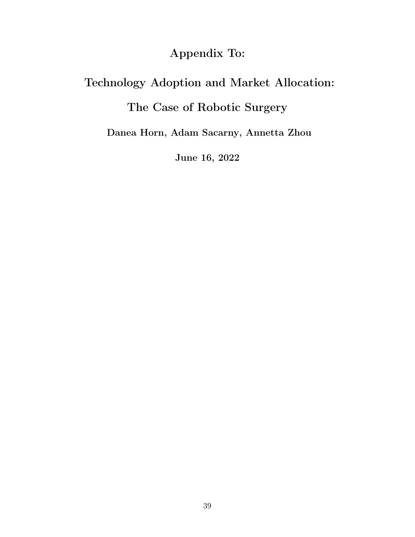# Appendix To:

# Technology Adoption and Market Allocation:

# The Case of Robotic Surgery

Danea Horn, Adam Sacarny, Annetta Zhou

June 16, 2022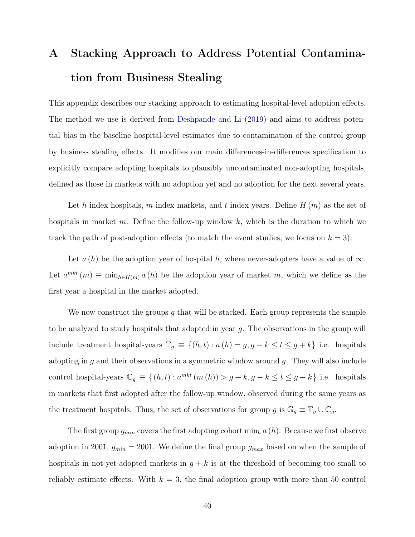# <span id="page-40-1"></span><span id="page-40-0"></span>A Stacking Approach to Address Potential Contamination from Business Stealing

This appendix describes our stacking approach to estimating hospital-level adoption effects. The method we use is derived from [Deshpande and Li](#page-25-10) [\(2019\)](#page-25-10) and aims to address potential bias in the baseline hospital-level estimates due to contamination of the control group by business stealing effects. It modifies our main differences-in-differences specification to explicitly compare adopting hospitals to plausibly uncontaminated non-adopting hospitals, defined as those in markets with no adoption yet and no adoption for the next several years.

Let h index hospitals, m index markets, and t index years. Define  $H(m)$  as the set of hospitals in market m. Define the follow-up window  $k$ , which is the duration to which we track the path of post-adoption effects (to match the event studies, we focus on  $k = 3$ ).

Let  $a(h)$  be the adoption year of hospital h, where never-adopters have a value of  $\infty$ . Let  $a^{mkt}(m) \equiv \min_{h \in H(m)} a(h)$  be the adoption year of market m, which we define as the first year a hospital in the market adopted.

We now construct the groups q that will be stacked. Each group represents the sample to be analyzed to study hospitals that adopted in year g. The observations in the group will include treatment hospital-years  $\mathbb{T}_g \equiv \{(h, t) : a(h) = g, g - k \le t \le g + k\}$  i.e. hospitals adopting in  $g$  and their observations in a symmetric window around  $g$ . They will also include control hospital-years  $\mathbb{C}_g \equiv \{(h,t) : a^{mkt}(m(h)) > g+k, g-k \le t \le g+k\}$  i.e. hospitals in markets that first adopted after the follow-up window, observed during the same years as the treatment hospitals. Thus, the set of observations for group g is  $\mathbb{G}_g \equiv \mathbb{T}_g \cup \mathbb{C}_g$ .

The first group  $g_{min}$  covers the first adopting cohort  $\min_h a(h)$ . Because we first observe adoption in 2001,  $g_{min} = 2001$ . We define the final group  $g_{max}$  based on when the sample of hospitals in not-yet-adopted markets in  $g + k$  is at the threshold of becoming too small to reliably estimate effects. With  $k = 3$ , the final adoption group with more than 50 control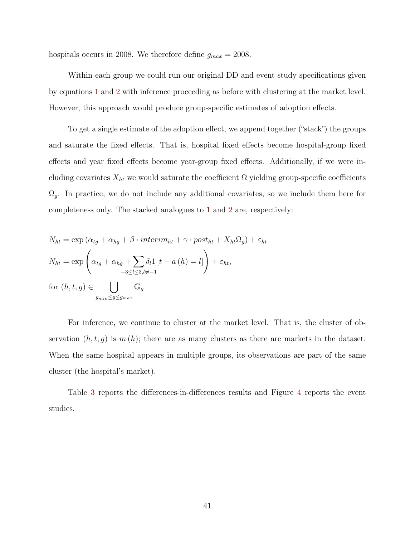hospitals occurs in 2008. We therefore define  $g_{max} = 2008$ .

Within each group we could run our original DD and event study specifications given by equations [1](#page-11-0) and [2](#page-11-1) with inference proceeding as before with clustering at the market level. However, this approach would produce group-specific estimates of adoption effects.

To get a single estimate of the adoption effect, we append together ("stack") the groups and saturate the fixed effects. That is, hospital fixed effects become hospital-group fixed effects and year fixed effects become year-group fixed effects. Additionally, if we were including covariates  $X_{ht}$  we would saturate the coefficient  $\Omega$  yielding group-specific coefficients  $\Omega_g$ . In practice, we do not include any additional covariates, so we include them here for completeness only. The stacked analogues to [1](#page-11-0) and [2](#page-11-1) are, respectively:

$$
N_{ht} = \exp\left(\alpha_{tg} + \alpha_{hg} + \beta \cdot interim_{ht} + \gamma \cdot post_{ht} + X_{ht}\Omega_g\right) + \varepsilon_{ht}
$$
  

$$
N_{ht} = \exp\left(\alpha_{tg} + \alpha_{hg} + \sum_{-3 \le l \le 3, l \ne -1} \delta_l 1 \left[t - a\left(h\right) = l\right]\right) + \varepsilon_{ht},
$$
  
for  $(h, t, g) \in \bigcup_{g_{min} \le g \le g_{max}} \mathbb{G}_g$ 

For inference, we continue to cluster at the market level. That is, the cluster of observation  $(h, t, g)$  is  $m(h)$ ; there are as many clusters as there are markets in the dataset. When the same hospital appears in multiple groups, its observations are part of the same cluster (the hospital's market).

Table [3](#page-37-0) reports the differences-in-differences results and Figure [4](#page-33-0) reports the event studies.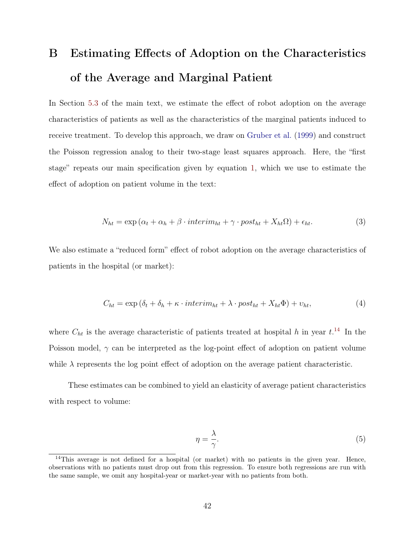# <span id="page-42-0"></span>B Estimating Effects of Adoption on the Characteristics of the Average and Marginal Patient

In Section [5.3](#page-17-0) of the main text, we estimate the effect of robot adoption on the average characteristics of patients as well as the characteristics of the marginal patients induced to receive treatment. To develop this approach, we draw on [Gruber et al.](#page-26-8) [\(1999\)](#page-26-8) and construct the Poisson regression analog to their two-stage least squares approach. Here, the "first stage" repeats our main specification given by equation [1,](#page-11-0) which we use to estimate the effect of adoption on patient volume in the text:

$$
N_{ht} = \exp\left(\alpha_t + \alpha_h + \beta \cdot interim_{ht} + \gamma \cdot post_{ht} + X_{ht}\Omega\right) + \epsilon_{ht}.\tag{3}
$$

We also estimate a "reduced form" effect of robot adoption on the average characteristics of patients in the hospital (or market):

$$
C_{ht} = \exp\left(\delta_t + \delta_h + \kappa \cdot interim_{ht} + \lambda \cdot post_{ht} + X_{ht}\Phi\right) + v_{ht},\tag{4}
$$

where  $C_{ht}$  is the average characteristic of patients treated at hospital h in year  $t^{14}$  $t^{14}$  $t^{14}$ . In the Poisson model,  $\gamma$  can be interpreted as the log-point effect of adoption on patient volume while  $\lambda$  represents the log point effect of adoption on the average patient characteristic.

These estimates can be combined to yield an elasticity of average patient characteristics with respect to volume:

$$
\eta = \frac{\lambda}{\gamma}.\tag{5}
$$

<sup>&</sup>lt;sup>14</sup>This average is not defined for a hospital (or market) with no patients in the given year. Hence, observations with no patients must drop out from this regression. To ensure both regressions are run with the same sample, we omit any hospital-year or market-year with no patients from both.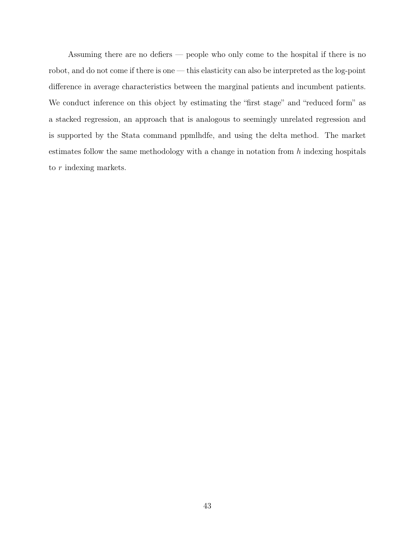Assuming there are no defiers — people who only come to the hospital if there is no robot, and do not come if there is one — this elasticity can also be interpreted as the log-point difference in average characteristics between the marginal patients and incumbent patients. We conduct inference on this object by estimating the "first stage" and "reduced form" as a stacked regression, an approach that is analogous to seemingly unrelated regression and is supported by the Stata command ppmlhdfe, and using the delta method. The market estimates follow the same methodology with a change in notation from  $h$  indexing hospitals to r indexing markets.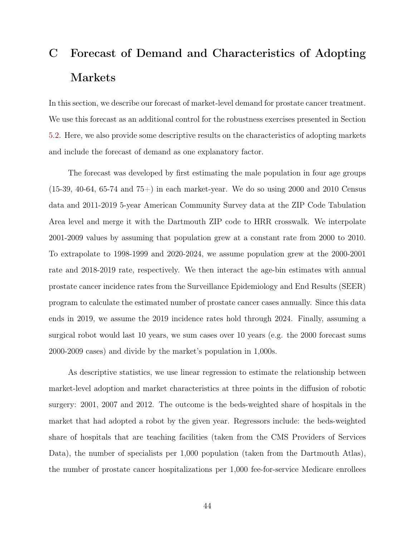# <span id="page-44-0"></span>C Forecast of Demand and Characteristics of Adopting Markets

In this section, we describe our forecast of market-level demand for prostate cancer treatment. We use this forecast as an additional control for the robustness exercises presented in Section [5.2.](#page-15-0) Here, we also provide some descriptive results on the characteristics of adopting markets and include the forecast of demand as one explanatory factor.

The forecast was developed by first estimating the male population in four age groups  $(15-39, 40-64, 65-74, and 75+)$  in each market-year. We do so using 2000 and 2010 Census data and 2011-2019 5-year American Community Survey data at the ZIP Code Tabulation Area level and merge it with the Dartmouth ZIP code to HRR crosswalk. We interpolate 2001-2009 values by assuming that population grew at a constant rate from 2000 to 2010. To extrapolate to 1998-1999 and 2020-2024, we assume population grew at the 2000-2001 rate and 2018-2019 rate, respectively. We then interact the age-bin estimates with annual prostate cancer incidence rates from the Surveillance Epidemiology and End Results (SEER) program to calculate the estimated number of prostate cancer cases annually. Since this data ends in 2019, we assume the 2019 incidence rates hold through 2024. Finally, assuming a surgical robot would last 10 years, we sum cases over 10 years (e.g. the 2000 forecast sums 2000-2009 cases) and divide by the market's population in 1,000s.

As descriptive statistics, we use linear regression to estimate the relationship between market-level adoption and market characteristics at three points in the diffusion of robotic surgery: 2001, 2007 and 2012. The outcome is the beds-weighted share of hospitals in the market that had adopted a robot by the given year. Regressors include: the beds-weighted share of hospitals that are teaching facilities (taken from the CMS Providers of Services Data), the number of specialists per 1,000 population (taken from the Dartmouth Atlas), the number of prostate cancer hospitalizations per 1,000 fee-for-service Medicare enrollees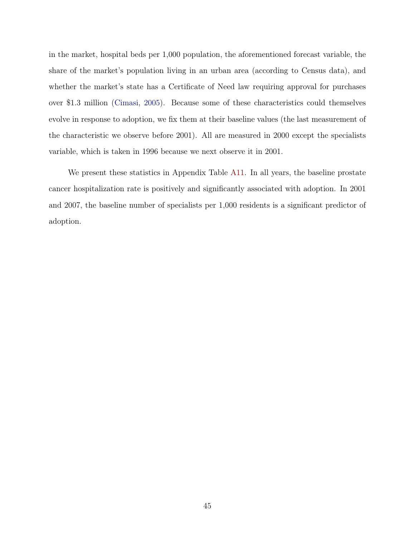in the market, hospital beds per 1,000 population, the aforementioned forecast variable, the share of the market's population living in an urban area (according to Census data), and whether the market's state has a Certificate of Need law requiring approval for purchases over \$1.3 million [\(Cimasi,](#page-25-2) [2005\)](#page-25-2). Because some of these characteristics could themselves evolve in response to adoption, we fix them at their baseline values (the last measurement of the characteristic we observe before 2001). All are measured in 2000 except the specialists variable, which is taken in 1996 because we next observe it in 2001.

We present these statistics in Appendix Table [A11.](#page-59-0) In all years, the baseline prostate cancer hospitalization rate is positively and significantly associated with adoption. In 2001 and 2007, the baseline number of specialists per 1,000 residents is a significant predictor of adoption.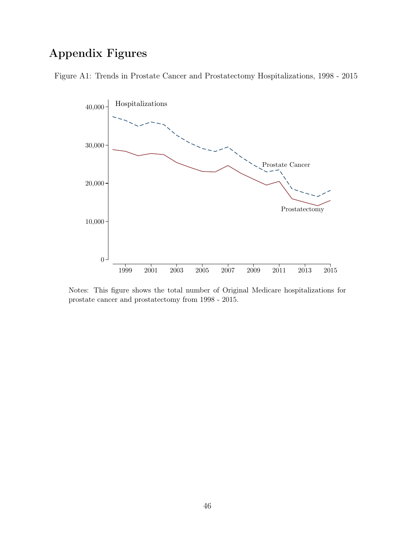# Appendix Figures

<span id="page-46-0"></span>Figure A1: Trends in Prostate Cancer and Prostatectomy Hospitalizations, 1998 - 2015



Notes: This figure shows the total number of Original Medicare hospitalizations for prostate cancer and prostatectomy from 1998 - 2015.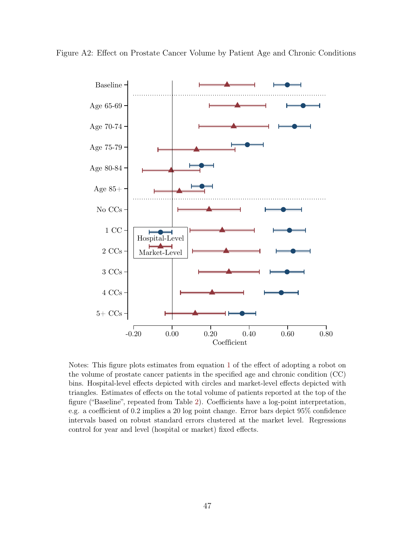<span id="page-47-0"></span>Figure A2: Effect on Prostate Cancer Volume by Patient Age and Chronic Conditions



Notes: This figure plots estimates from equation [1](#page-11-0) of the effect of adopting a robot on the volume of prostate cancer patients in the specified age and chronic condition (CC) bins. Hospital-level effects depicted with circles and market-level effects depicted with triangles. Estimates of effects on the total volume of patients reported at the top of the figure ("Baseline", repeated from Table [2\)](#page-36-0). Coefficients have a log-point interpretation, e.g. a coefficient of 0.2 implies a 20 log point change. Error bars depict 95% confidence intervals based on robust standard errors clustered at the market level. Regressions control for year and level (hospital or market) fixed effects.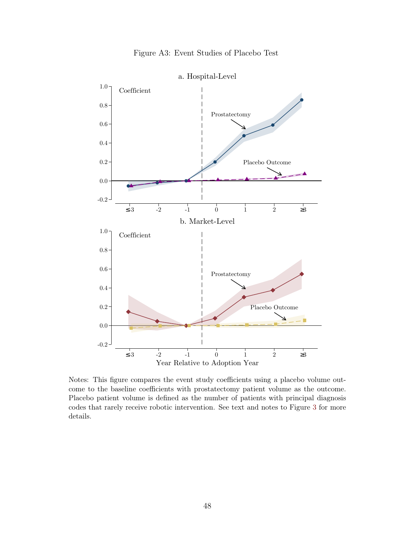<span id="page-48-0"></span>

Notes: This figure compares the event study coefficients using a placebo volume outcome to the baseline coefficients with prostatectomy patient volume as the outcome. Placebo patient volume is defined as the number of patients with principal diagnosis codes that rarely receive robotic intervention. See text and notes to Figure [3](#page-32-0) for more details.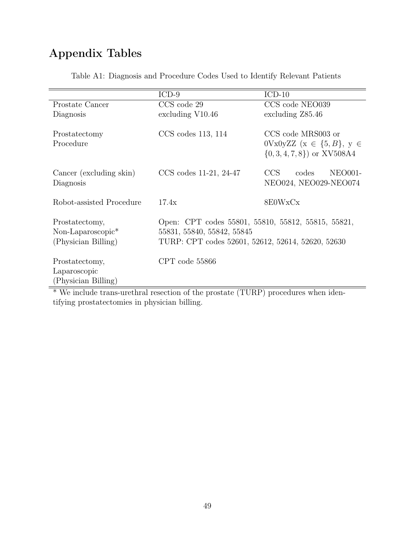# Appendix Tables

<span id="page-49-0"></span>

|                                                                        | $ICD-9$                                                                                                                               | $ICD-10$                                                                                       |  |  |  |  |
|------------------------------------------------------------------------|---------------------------------------------------------------------------------------------------------------------------------------|------------------------------------------------------------------------------------------------|--|--|--|--|
| Prostate Cancer                                                        | CCS code 29                                                                                                                           | CCS code NEO039                                                                                |  |  |  |  |
| Diagnosis                                                              | excluding V10.46                                                                                                                      | excluding Z85.46                                                                               |  |  |  |  |
| Prostatectomy<br>Procedure                                             | $CCS$ codes 113, 114                                                                                                                  | CCS code MRS003 or<br>$0Vx0yZZ$ ( $x \in \{5, B\}$ , $y \in$<br>$\{0, 3, 4, 7, 8\}$ or XV508A4 |  |  |  |  |
| Cancer (excluding skin)<br>Diagnosis                                   | $CCS$ codes 11-21, 24-47                                                                                                              | CCS<br>codes<br><b>NEO001-</b><br>NEO024, NEO029-NEO074                                        |  |  |  |  |
| Robot-assisted Procedure                                               | 17.4x                                                                                                                                 | 8E0WxCx                                                                                        |  |  |  |  |
| Prostatectomy,<br>Non-Laparoscopic <sup>*</sup><br>(Physician Billing) | Open: CPT codes 55801, 55810, 55812, 55815, 55821,<br>55831, 55840, 55842, 55845<br>TURP: CPT codes 52601, 52612, 52614, 52620, 52630 |                                                                                                |  |  |  |  |
| Prostatectomy,<br>Laparoscopic<br>(Physician Billing)                  | CPT code 55866                                                                                                                        |                                                                                                |  |  |  |  |

Table A1: Diagnosis and Procedure Codes Used to Identify Relevant Patients

\* We include trans-urethral resection of the prostate (TURP) procedures when identifying prostatectomies in physician billing.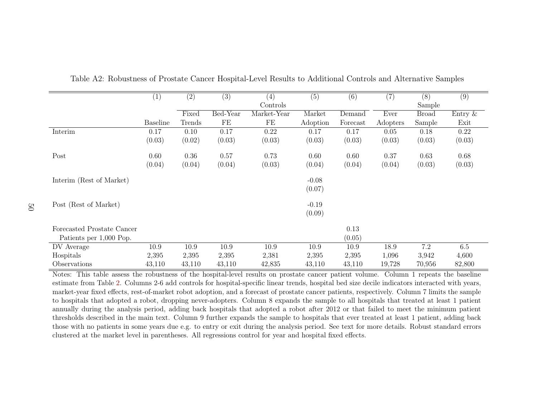|                            | (1)             | (2)    | (3)      | (4)         | (5)      | (6)      | (7)      | (8)          | (9)        |
|----------------------------|-----------------|--------|----------|-------------|----------|----------|----------|--------------|------------|
|                            |                 |        |          | Controls    |          |          |          | Sample       |            |
|                            |                 | Fixed  | Bed-Year | Market-Year | Market   | Demand   | Ever     | <b>Broad</b> | Entry $\&$ |
|                            | <b>Baseline</b> | Trends | FE       | FE          | Adoption | Forecast | Adopters | Sample       | Exit       |
| Interim                    | 0.17            | 0.10   | 0.17     | $0.22\,$    | 0.17     | 0.17     | 0.05     | 0.18         | 0.22       |
|                            | (0.03)          | (0.02) | (0.03)   | (0.03)      | (0.03)   | (0.03)   | (0.03)   | (0.03)       | (0.03)     |
| Post                       | 0.60            | 0.36   | 0.57     | 0.73        | 0.60     | 0.60     | 0.37     | 0.63         | 0.68       |
|                            | (0.04)          | (0.04) | (0.04)   | (0.03)      | (0.04)   | (0.04)   | (0.04)   | (0.03)       | (0.03)     |
| Interim (Rest of Market)   |                 |        |          |             | $-0.08$  |          |          |              |            |
|                            |                 |        |          |             | (0.07)   |          |          |              |            |
| Post (Rest of Market)      |                 |        |          |             | $-0.19$  |          |          |              |            |
|                            |                 |        |          |             | (0.09)   |          |          |              |            |
| Forecasted Prostate Cancer |                 |        |          |             |          | 0.13     |          |              |            |
| Patients per 1,000 Pop.    |                 |        |          |             |          | (0.05)   |          |              |            |
| DV Average                 | 10.9            | 10.9   | 10.9     | 10.9        | 10.9     | 10.9     | 18.9     | 7.2          | $6.5\,$    |
| Hospitals                  | 2,395           | 2,395  | 2,395    | 2,381       | 2,395    | 2,395    | 1,096    | 3,942        | 4,600      |
| Observations               | 43,110          | 43,110 | 43,110   | 42,835      | 43,110   | 43,110   | 19,728   | 70,956       | 82,800     |

<span id="page-50-1"></span>Table A2: Robustness of Prostate Cancer Hospital-Level Results to Additional Controls and Alternative Samples

<span id="page-50-0"></span> Notes: This table assess the robustness of the hospital-level results on prostate cancer patient volume. Column 1 repeats the baseline estimate from Table [2.](#page-36-1) Columns 2-6 add controls for hospital-specific linear trends, hospital bed size decile indicators interacted with years, market-year fixed effects, rest-of-market robot adoption, and <sup>a</sup> forecast of prostate cancer patients, respectively. Column 7 limits the sample to hospitals that adopted <sup>a</sup> robot, dropping never-adopters. Column 8 expands the sample to all hospitals that treated at least 1 patient annually during the analysis period, adding back hospitals that adopted <sup>a</sup> robot after 2012 or that failed to meet the minimum patient thresholds described in the main text. Column 9 further expands the sample to hospitals that ever treated at least 1 patient, adding back those with no patients in some years due e.g. to entry or exit during the analysis period. See text for more details. Robust standard errorsclustered at the market level in parentheses. All regressions control for year and hospital fixed effects.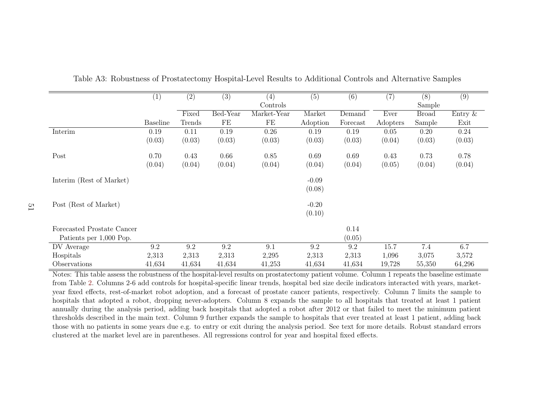<span id="page-51-1"></span>

|                            | (1)             | (2)    | (3)      | (4)         | (5)      | (6)      | (7)      | (8)          | $\overline{(9)}$ |
|----------------------------|-----------------|--------|----------|-------------|----------|----------|----------|--------------|------------------|
|                            |                 |        |          | Controls    |          |          |          | Sample       |                  |
|                            |                 | Fixed  | Bed-Year | Market-Year | Market   | Demand   | Ever     | <b>Broad</b> | Entry $\&$       |
|                            | <b>Baseline</b> | Trends | FE       | FE          | Adoption | Forecast | Adopters | Sample       | Exit             |
| Interim                    | 0.19            | 0.11   | 0.19     | 0.26        | 0.19     | 0.19     | 0.05     | 0.20         | 0.24             |
|                            | (0.03)          | (0.03) | (0.03)   | (0.03)      | (0.03)   | (0.03)   | (0.04)   | (0.03)       | (0.03)           |
| Post                       | 0.70            | 0.43   | 0.66     | 0.85        | 0.69     | 0.69     | 0.43     | 0.73         | 0.78             |
|                            | (0.04)          | (0.04) | (0.04)   | (0.04)      | (0.04)   | (0.04)   | (0.05)   | (0.04)       | (0.04)           |
| Interim (Rest of Market)   |                 |        |          |             | $-0.09$  |          |          |              |                  |
|                            |                 |        |          |             | (0.08)   |          |          |              |                  |
| Post (Rest of Market)      |                 |        |          |             | $-0.20$  |          |          |              |                  |
|                            |                 |        |          |             | (0.10)   |          |          |              |                  |
| Forecasted Prostate Cancer |                 |        |          |             |          | 0.14     |          |              |                  |
| Patients per 1,000 Pop.    |                 |        |          |             |          | (0.05)   |          |              |                  |
| DV Average                 | 9.2             | 9.2    | 9.2      | 9.1         | 9.2      | 9.2      | 15.7     | 7.4          | 6.7              |
| Hospitals                  | 2,313           | 2,313  | 2,313    | 2,295       | 2,313    | 2,313    | 1,096    | 3,075        | 3,572            |
| Observations               | 41,634          | 41,634 | 41,634   | 41,253      | 41,634   | 41,634   | 19,728   | 55,350       | 64,296           |

Table A3: Robustness of Prostatectomy Hospital-Level Results to Additional Controls and Alternative Samples

<span id="page-51-0"></span> Notes: This table assess the robustness of the hospital-level results on prostatectomy patient volume. Column 1 repeats the baseline estimate from Table [2.](#page-36-1) Columns 2-6 add controls for hospital-specific linear trends, hospital bed size decile indicators interacted with years, marketyear fixed effects, rest-of-market robot adoption, and <sup>a</sup> forecast of prostate cancer patients, respectively. Column 7 limits the sample to hospitals that adopted <sup>a</sup> robot, dropping never-adopters. Column 8 expands the sample to all hospitals that treated at least 1 patient annually during the analysis period, adding back hospitals that adopted <sup>a</sup> robot after 2012 or that failed to meet the minimum patient thresholds described in the main text. Column 9 further expands the sample to hospitals that ever treated at least 1 patient, adding back those with no patients in some years due e.g. to entry or exit during the analysis period. See text for more details. Robust standard errorsclustered at the market level are in parentheses. All regressions control for year and hospital fixed effects.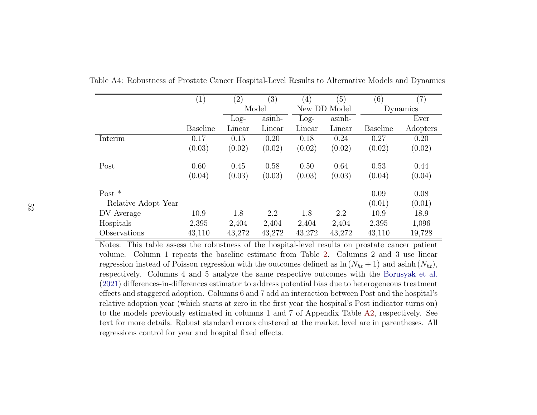|                     | (1)             | $^{\prime 2)}$ | (3)    | $\left(4\right)$ | (5)          | (6)             | $\left( 7\right)$ |
|---------------------|-----------------|----------------|--------|------------------|--------------|-----------------|-------------------|
|                     |                 | Model          |        |                  | New DD Model |                 | Dynamics          |
|                     |                 | $Log-$         | asinh- | $Log-$           | asinh-       |                 | Ever              |
|                     | <b>Baseline</b> | Linear         | Linear | Linear           | Linear       | <b>Baseline</b> | Adopters          |
| Interim             | 0.17            | 0.15           | 0.20   | 0.18             | 0.24         | 0.27            | 0.20              |
|                     | (0.03)          | (0.02)         | (0.02) | (0.02)           | (0.02)       | (0.02)          | (0.02)            |
| Post                | 0.60            | 0.45           | 0.58   | 0.50             | 0.64         | 0.53            | 0.44              |
|                     | (0.04)          | (0.03)         | (0.03) | (0.03)           | (0.03)       | (0.04)          | (0.04)            |
| Post $*$            |                 |                |        |                  |              | 0.09            | 0.08              |
| Relative Adopt Year |                 |                |        |                  |              | (0.01)          | (0.01)            |
| DV Average          | 10.9            | 1.8            | 2.2    | 1.8              | 2.2          | 10.9            | 18.9              |
| Hospitals           | 2,395           | 2,404          | 2,404  | 2,404            | 2,404        | 2,395           | 1,096             |
| Observations        | 43,110          | 43,272         | 43,272 | 43,272           | 43,272       | 43,110          | 19,728            |

Table A4: Robustness of Prostate Cancer Hospital-Level Results to Alternative Models and Dynamics

<span id="page-52-0"></span> Notes: This table assess the robustness of the hospital-level results on prostate cancer patient volume. Column 1 repeats the baseline estimate from Table[2.](#page-36-1) Columns 2 and 3 use linearregression instead of Poisson regression with the outcomes defined as  $\ln(N_{ht} + 1)$  and asinh  $(N_{ht})$ , respectively. Columns 4 and 5 analyze the same respective outcomes with the [Borusyak](#page-24-10) et al. [\(2021\)](#page-24-10) differences-in-differences estimator to address potential bias due to heterogeneous treatment effects and staggered adoption. Columns 6 and 7 add an interaction between Post and the hospital's relative adoption year (which starts at zero in the first year the hospital's Post indicator turns on) to the models previously estimated in columns 1 and 7 of Appendix Table [A2,](#page-50-1) respectively. See text for more details. Robust standard errors clustered at the market level are in parentheses. Allregressions control for year and hospital fixed effects.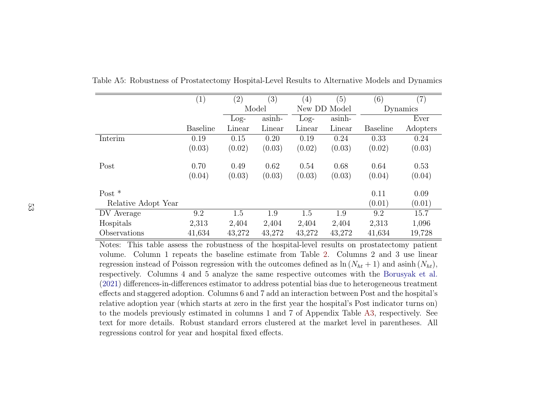|                     | (1)             | $\left( 2\right)$ | $\left( 3\right)$ | $\left(4\right)$ | (5)          | (6)             | (7)      |
|---------------------|-----------------|-------------------|-------------------|------------------|--------------|-----------------|----------|
|                     |                 | Model             |                   |                  | New DD Model |                 | Dynamics |
|                     |                 | $Log-$            | asinh-            | $Log-$           | asinh-       |                 | Ever     |
|                     | <b>Baseline</b> | Linear            | Linear            | Linear           | Linear       | <b>Baseline</b> | Adopters |
| Interim             | 0.19            | 0.15              | 0.20              | 0.19             | 0.24         | 0.33            | 0.24     |
|                     | (0.03)          | (0.02)            | (0.03)            | (0.02)           | (0.03)       | (0.02)          | (0.03)   |
| Post                | 0.70            | 0.49              | 0.62              | 0.54             | 0.68         | 0.64            | 0.53     |
|                     | (0.04)          | (0.03)            | (0.03)            | (0.03)           | (0.03)       | (0.04)          | (0.04)   |
| Post $*$            |                 |                   |                   |                  |              | 0.11            | 0.09     |
| Relative Adopt Year |                 |                   |                   |                  |              | (0.01)          | (0.01)   |
| DV Average          | 9.2             | 1.5               | 1.9               | 1.5              | 1.9          | 9.2             | 15.7     |
| Hospitals           | 2,313           | 2,404             | 2,404             | 2,404            | 2,404        | 2,313           | 1,096    |
| Observations        | 41,634          | 43,272            | 43,272            | 43,272           | 43,272       | 41,634          | 19,728   |

<span id="page-53-0"></span>Table A5: Robustness of Prostatectomy Hospital-Level Results to Alternative Models and Dynamics

 Notes: This table assess the robustness of the hospital-level results on prostatectomy patient volume. Column 1 repeats the baseline estimate from Table[2.](#page-36-1) Columns 2 and 3 use linearregression instead of Poisson regression with the outcomes defined as  $\ln(N_{ht} + 1)$  and asinh  $(N_{ht})$ , respectively. Columns 4 and 5 analyze the same respective outcomes with the [Borusyak](#page-24-10) et al. [\(2021\)](#page-24-10) differences-in-differences estimator to address potential bias due to heterogeneous treatment effects and staggered adoption. Columns 6 and 7 add an interaction between Post and the hospital's relative adoption year (which starts at zero in the first year the hospital's Post indicator turns on) to the models previously estimated in columns 1 and 7 of Appendix Table [A3,](#page-51-1) respectively. See text for more details. Robust standard errors clustered at the market level in parentheses. Allregressions control for year and hospital fixed effects.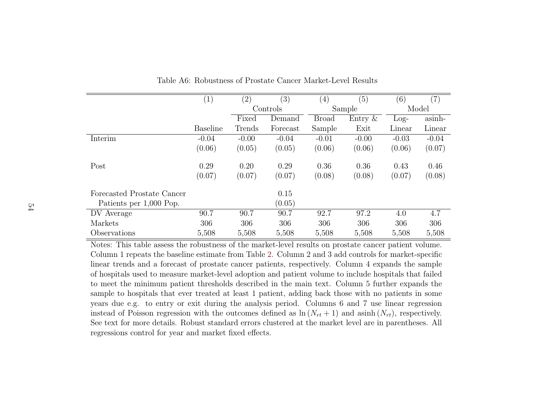|                            | (1)             | $\left( 2\right)$ | (3)      | $\left( 4\right)$ | (5)        | (6)     | $\left( 7\right)$ |
|----------------------------|-----------------|-------------------|----------|-------------------|------------|---------|-------------------|
|                            |                 |                   | Controls |                   | Sample     | Model   |                   |
|                            |                 | Fixed             | Demand   | <b>Broad</b>      | Entry $\&$ | $Log-$  | asinh-            |
|                            | <b>Baseline</b> | Trends            | Forecast | Sample            | Exit       | Linear  | Linear            |
| Interim                    | $-0.04$         | $-0.00$           | $-0.04$  | $-0.01$           | $-0.00$    | $-0.03$ | $-0.04$           |
|                            | (0.06)          | (0.05)            | (0.05)   | (0.06)            | (0.06)     | (0.06)  | (0.07)            |
| Post                       | 0.29            | 0.20              | 0.29     | 0.36              | 0.36       | 0.43    | 0.46              |
|                            | (0.07)          | (0.07)            | (0.07)   | (0.08)            | (0.08)     | (0.07)  | (0.08)            |
| Forecasted Prostate Cancer |                 |                   | 0.15     |                   |            |         |                   |
| Patients per 1,000 Pop.    |                 |                   | (0.05)   |                   |            |         |                   |
| DV Average                 | 90.7            | 90.7              | 90.7     | 92.7              | 97.2       | 4.0     | 4.7               |
| Markets                    | 306             | 306               | 306      | 306               | 306        | 306     | 306               |
| Observations               | 5,508           | 5,508             | 5,508    | 5,508             | 5,508      | 5,508   | 5,508             |

Table A6: Robustness of Prostate Cancer Market-Level Results

<span id="page-54-0"></span>Notes: This table assess the robustness of the market-level results on prostate cancer patient volume.Column 1 repeats the baseline estimate from Table[2.](#page-36-1) Column 2 and 3 add controls for market-specific linear trends and <sup>a</sup> forecast of prostate cancer patients, respectively. Column 4 expands the sample of hospitals used to measure market-level adoption and patient volume to include hospitals that failed to meet the minimum patient thresholds described in the main text. Column 5 further expands the sample to hospitals that ever treated at least 1 patient, adding back those with no patients in some years due e.g. to entry or exit during the analysis period. Columns 6 and 7 use linear regressioninstead of Poisson regression with the outcomes defined as  $\ln(N_{rt} + 1)$  and asinh  $(N_{rt})$ , respectively. See text for more details. Robust standard errors clustered at the market level are in parentheses. Allregressions control for year and market fixed effects.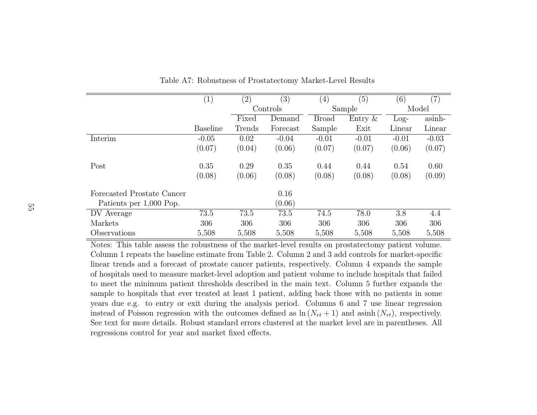|                            | $\left(1\right)$ | (2)    | (3)      | $\left( 4\right)$ | (5)        | (6)     | (7)     |
|----------------------------|------------------|--------|----------|-------------------|------------|---------|---------|
|                            |                  |        | Controls |                   | Sample     |         | Model   |
|                            |                  | Fixed  | Demand   | <b>Broad</b>      | Entry $\&$ | $Log-$  | asinh-  |
|                            | <b>Baseline</b>  | Trends | Forecast | Sample            | Exit       | Linear  | Linear  |
| Interim                    | $-0.05$          | 0.02   | $-0.04$  | $-0.01$           | $-0.01$    | $-0.01$ | $-0.03$ |
|                            | (0.07)           | (0.04) | (0.06)   | (0.07)            | (0.07)     | (0.06)  | (0.07)  |
| Post                       | 0.35             | 0.29   | 0.35     | 0.44              | 0.44       | 0.54    | 0.60    |
|                            | (0.08)           | (0.06) | (0.08)   | (0.08)            | (0.08)     | (0.08)  | (0.09)  |
| Forecasted Prostate Cancer |                  |        | 0.16     |                   |            |         |         |
| Patients per 1,000 Pop.    |                  |        | (0.06)   |                   |            |         |         |
| DV Average                 | 73.5             | 73.5   | 73.5     | 74.5              | 78.0       | 3.8     | 4.4     |
| Markets                    | 306              | 306    | 306      | 306               | 306        | 306     | 306     |
| Observations               | 5,508            | 5,508  | 5,508    | 5,508             | 5,508      | 5,508   | 5,508   |

Table A7: Robustness of Prostatectomy Market-Level Results

<span id="page-55-0"></span> Notes: This table assess the robustness of the market-level results on prostatectomy patient volume.Column 1 repeats the baseline estimate from Table[2.](#page-36-1) Column 2 and 3 add controls for market-specific linear trends and <sup>a</sup> forecast of prostate cancer patients, respectively. Column 4 expands the sample of hospitals used to measure market-level adoption and patient volume to include hospitals that failed to meet the minimum patient thresholds described in the main text. Column 5 further expands the sample to hospitals that ever treated at least 1 patient, adding back those with no patients in some years due e.g. to entry or exit during the analysis period. Columns 6 and 7 use linear regressioninstead of Poisson regression with the outcomes defined as  $\ln(N_{rt} + 1)$  and asinh  $(N_{rt})$ , respectively. See text for more details. Robust standard errors clustered at the market level are in parentheses. Allregressions control for year and market fixed effects.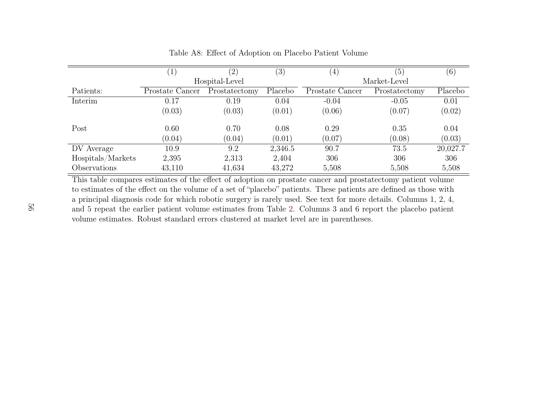|                   |                  |                |         |                  | (5)           |          |  |  |
|-------------------|------------------|----------------|---------|------------------|---------------|----------|--|--|
|                   | $\left(1\right)$ | (2)            | (3)     | $\left(4\right)$ |               | (6)      |  |  |
|                   |                  | Hospital-Level |         | Market-Level     |               |          |  |  |
| Patients:         | Prostate Cancer  | Prostatectomy  | Placebo | Prostate Cancer  | Prostatectomy | Placebo  |  |  |
| Interim           | 0.17             | 0.19           | 0.04    | $-0.04$          | $-0.05$       | 0.01     |  |  |
|                   | (0.03)           | (0.03)         | (0.01)  | (0.06)           | (0.07)        | (0.02)   |  |  |
| Post              | 0.60             | 0.70           | 0.08    | 0.29             | 0.35          | 0.04     |  |  |
|                   | (0.04)           | (0.04)         | (0.01)  | (0.07)           | (0.08)        | (0.03)   |  |  |
| DV Average        | 10.9             | 9.2            | 2,346.5 | 90.7             | 73.5          | 20,027.7 |  |  |
| Hospitals/Markets | 2,395            | 2,313          | 2,404   | 306              | 306           | 306      |  |  |
| Observations      | 43,110           | 41,634         | 43,272  | 5,508            | 5,508         | 5,508    |  |  |

Table A8: Effect of Adoption on Placebo Patient Volume

<span id="page-56-0"></span>This table compares estimates of the effect of adoption on prostate cancer and prostatectomy patient volume to estimates of the effect on the volume of <sup>a</sup> set of "placebo" patients. These patients are defined as those with <sup>a</sup> principal diagnosis code for which robotic surgery is rarely used. See text for more details. Columns 1, 2, 4,and 5 repeat the earlier patient volume estimates from Table[2.](#page-36-1) Columns 3 and 6 report the placebo patientvolume estimates. Robust standard errors clustered at market level are in parentheses.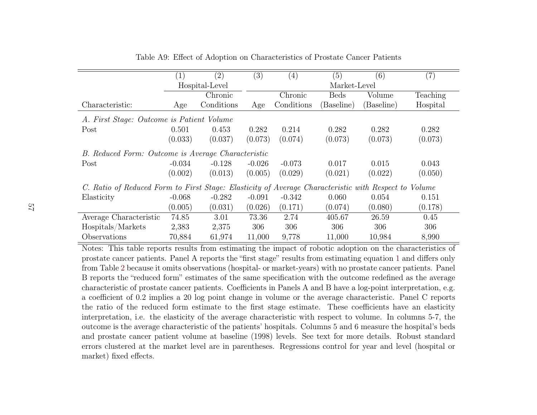<span id="page-57-1"></span>

|                                                                                                      | $\left(1\right)$ | (2)        | (3)      | $\left( 4\right)$ | (5)         | (6)        | (7)      |  |  |
|------------------------------------------------------------------------------------------------------|------------------|------------|----------|-------------------|-------------|------------|----------|--|--|
|                                                                                                      | Hospital-Level   |            |          | Market-Level      |             |            |          |  |  |
|                                                                                                      | Chronic          |            |          | Chronic           | <b>Beds</b> | Volume     | Teaching |  |  |
| Characteristic:                                                                                      | Age              | Conditions | Age      | Conditions        | (Baseline)  | (Baseline) | Hospital |  |  |
| A. First Stage: Outcome is Patient Volume                                                            |                  |            |          |                   |             |            |          |  |  |
| Post                                                                                                 | 0.501            | 0.453      | 0.282    | 0.214             | 0.282       | 0.282      | 0.282    |  |  |
|                                                                                                      | (0.033)          | (0.037)    | (0.073)  | (0.074)           | (0.073)     | (0.073)    | (0.073)  |  |  |
| B. Reduced Form: Outcome is Average Characteristic                                                   |                  |            |          |                   |             |            |          |  |  |
| Post                                                                                                 | $-0.034$         | $-0.128$   | $-0.026$ | $-0.073$          | 0.017       | 0.015      | 0.043    |  |  |
|                                                                                                      | (0.002)          | (0.013)    | (0.005)  | (0.029)           | (0.021)     | (0.022)    | (0.050)  |  |  |
| C. Ratio of Reduced Form to First Stage: Elasticity of Average Characteristic with Respect to Volume |                  |            |          |                   |             |            |          |  |  |
| Elasticity                                                                                           | $-0.068$         | $-0.282$   | $-0.091$ | $-0.342$          | 0.060       | 0.054      | 0.151    |  |  |
|                                                                                                      | (0.005)          | (0.031)    | (0.026)  | (0.171)           | (0.074)     | (0.080)    | (0.178)  |  |  |
| Average Characteristic                                                                               | 74.85            | 3.01       | 73.36    | 2.74              | 405.67      | 26.59      | 0.45     |  |  |
| Hospitals/Markets                                                                                    | 2,383            | 2,375      | 306      | 306               | 306         | 306        | 306      |  |  |
| Observations                                                                                         | 70,884           | 61,974     | 11,000   | 9,778             | 11,000      | 10,984     | 8,990    |  |  |

Table A9: Effect of Adoption on Characteristics of Prostate Cancer Patients

<span id="page-57-0"></span> Notes: This table reports results from estimating the impact of robotic adoption on the characteristics of prostate cancer patients. Panel A reports the "first stage" results from estimating equation [1](#page-11-2) and differs only from Table[2](#page-36-1) because it omits observations (hospital- or market-years) with no prostate cancer patients. Panel B reports the "reduced form" estimates of the same specification with the outcome redefined as the average characteristic of prostate cancer patients. Coefficients in Panels A and B have <sup>a</sup> log-point interpretation, e.g.<sup>a</sup> coefficient of 0.2 implies <sup>a</sup> 20 log point change in volume or the average characteristic. Panel C reports the ratio of the reduced form estimate to the first stage estimate. These coefficients have an elasticity interpretation, i.e. the elasticity of the average characteristic with respect to volume. In columns 5-7, the outcome is the average characteristic of the patients' hospitals. Columns 5 and 6 measure the hospital's beds and prostate cancer patient volume at baseline (1998) levels. See text for more details. Robust standard errors clustered at the market level are in parentheses. Regressions control for year and level (hospital ormarket) fixed effects.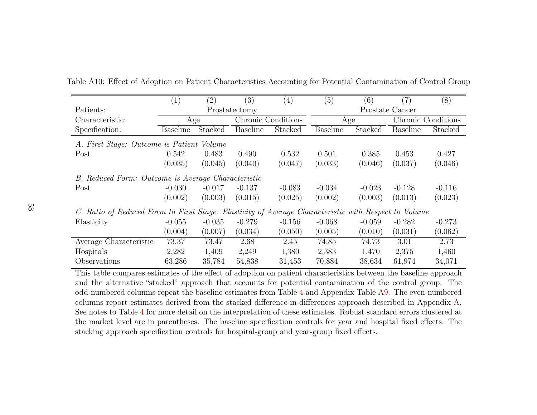|                                                                                                      | (1)             | (2)           | (3)             | (4)                | (5)             | (6)             | (7)             | (8)                |  |
|------------------------------------------------------------------------------------------------------|-----------------|---------------|-----------------|--------------------|-----------------|-----------------|-----------------|--------------------|--|
| Patients:                                                                                            |                 | Prostatectomy |                 |                    |                 | Prostate Cancer |                 |                    |  |
| Characteristic:                                                                                      |                 | Age           |                 | Chronic Conditions |                 | Age             |                 | Chronic Conditions |  |
| Specification:                                                                                       | <b>Baseline</b> | Stacked       | <b>Baseline</b> | Stacked            | <b>Baseline</b> | Stacked         | <b>Baseline</b> | Stacked            |  |
| A. First Stage: Outcome is Patient Volume                                                            |                 |               |                 |                    |                 |                 |                 |                    |  |
| Post                                                                                                 | 0.542           | 0.483         | 0.490           | 0.532              | 0.501           | 0.385           | 0.453           | 0.427              |  |
|                                                                                                      | (0.035)         | (0.045)       | (0.040)         | (0.047)            | (0.033)         | (0.046)         | (0.037)         | (0.046)            |  |
| B. Reduced Form: Outcome is Average Characteristic                                                   |                 |               |                 |                    |                 |                 |                 |                    |  |
| Post                                                                                                 | $-0.030$        | $-0.017$      | $-0.137$        | $-0.083$           | $-0.034$        | $-0.023$        | $-0.128$        | $-0.116$           |  |
|                                                                                                      | (0.002)         | (0.003)       | (0.015)         | (0.025)            | (0.002)         | (0.003)         | (0.013)         | (0.023)            |  |
| C. Ratio of Reduced Form to First Stage: Elasticity of Average Characteristic with Respect to Volume |                 |               |                 |                    |                 |                 |                 |                    |  |
| Elasticity                                                                                           | $-0.055$        | $-0.035$      | $-0.279$        | $-0.156$           | $-0.068$        | $-0.059$        | $-0.282$        | $-0.273$           |  |
|                                                                                                      | (0.004)         | (0.007)       | (0.034)         | (0.050)            | (0.005)         | (0.010)         | (0.031)         | (0.062)            |  |
| Average Characteristic                                                                               | 73.37           | 73.47         | 2.68            | 2.45               | 74.85           | 74.73           | 3.01            | 2.73               |  |
| Hospitals                                                                                            | 2,282           | 1,409         | 2,249           | 1,380              | 2,383           | 1,470           | 2,375           | 1,460              |  |
| Observations                                                                                         | 63,286          | 35,784        | 54,838          | 31,453             | 70,884          | 38,634          | 61,974          | 34,071             |  |

Table A10: Effect of Adoption on Patient Characteristics Accounting for Potential Contamination of Control Group

<span id="page-58-0"></span> This table compares estimates of the effect of adoption on patient characteristics between the baseline approach and the alternative "stacked" approach that accounts for potential contamination of the control group. The odd-numbered columns repeat the baseline estimates from Table[4](#page-38-1) and Appendix Table [A9.](#page-57-1) The even-numbered columns report estimates derived from the stacked difference-in-differences approach described in Appendix[A.](#page-40-1)See notes to Table [4](#page-38-1) for more detail on the interpretation of these estimates. Robust standard errors clustered at the market level are in parentheses. The baseline specification controls for year and hospital fixed effects. Thestacking approach specification controls for hospital-group and year-group fixed effects.